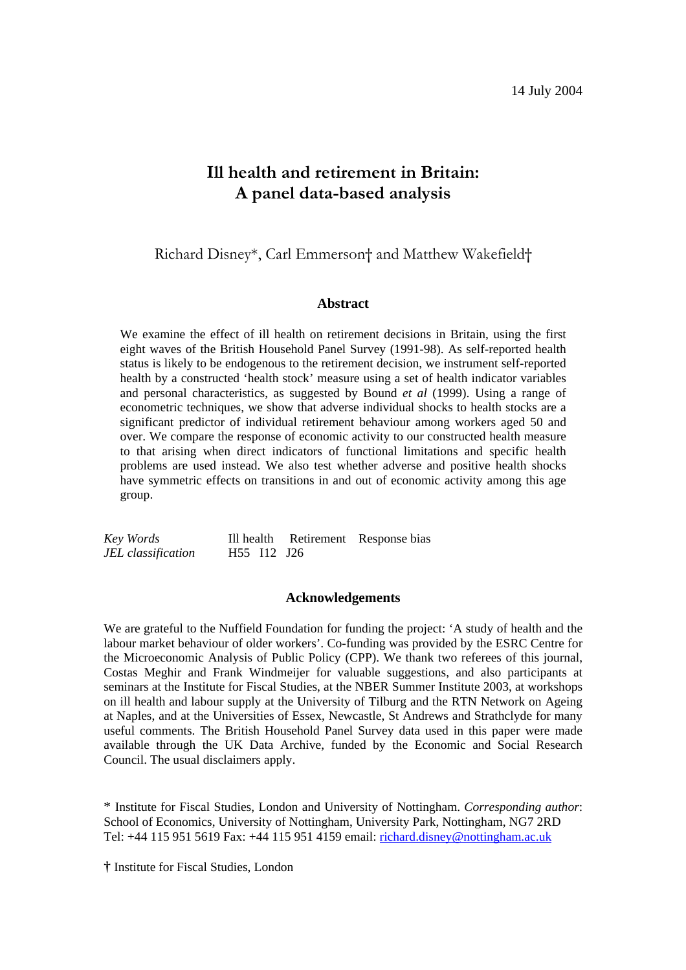# **Ill health and retirement in Britain: A panel data-based analysis**

Richard Disney\*, Carl Emmerson† and Matthew Wakefield†

#### **Abstract**

We examine the effect of ill health on retirement decisions in Britain, using the first eight waves of the British Household Panel Survey (1991-98). As self-reported health status is likely to be endogenous to the retirement decision, we instrument self-reported health by a constructed 'health stock' measure using a set of health indicator variables and personal characteristics, as suggested by Bound *et al* (1999). Using a range of econometric techniques, we show that adverse individual shocks to health stocks are a significant predictor of individual retirement behaviour among workers aged 50 and over. We compare the response of economic activity to our constructed health measure to that arising when direct indicators of functional limitations and specific health problems are used instead. We also test whether adverse and positive health shocks have symmetric effects on transitions in and out of economic activity among this age group.

| Key Words          |                                                 | Ill health Retirement Response bias |
|--------------------|-------------------------------------------------|-------------------------------------|
| JEL classification | H <sub>55</sub> I <sub>12</sub> J <sub>26</sub> |                                     |

## **Acknowledgements**

We are grateful to the Nuffield Foundation for funding the project: 'A study of health and the labour market behaviour of older workers'. Co-funding was provided by the ESRC Centre for the Microeconomic Analysis of Public Policy (CPP). We thank two referees of this journal, Costas Meghir and Frank Windmeijer for valuable suggestions, and also participants at seminars at the Institute for Fiscal Studies, at the NBER Summer Institute 2003, at workshops on ill health and labour supply at the University of Tilburg and the RTN Network on Ageing at Naples, and at the Universities of Essex, Newcastle, St Andrews and Strathclyde for many useful comments. The British Household Panel Survey data used in this paper were made available through the UK Data Archive, funded by the Economic and Social Research Council. The usual disclaimers apply.

\* Institute for Fiscal Studies, London and University of Nottingham. *Corresponding author*: School of Economics, University of Nottingham, University Park, Nottingham, NG7 2RD Tel: +44 115 951 5619 Fax: +44 115 951 4159 email: richard.disney@nottingham.ac.uk

**†** Institute for Fiscal Studies, London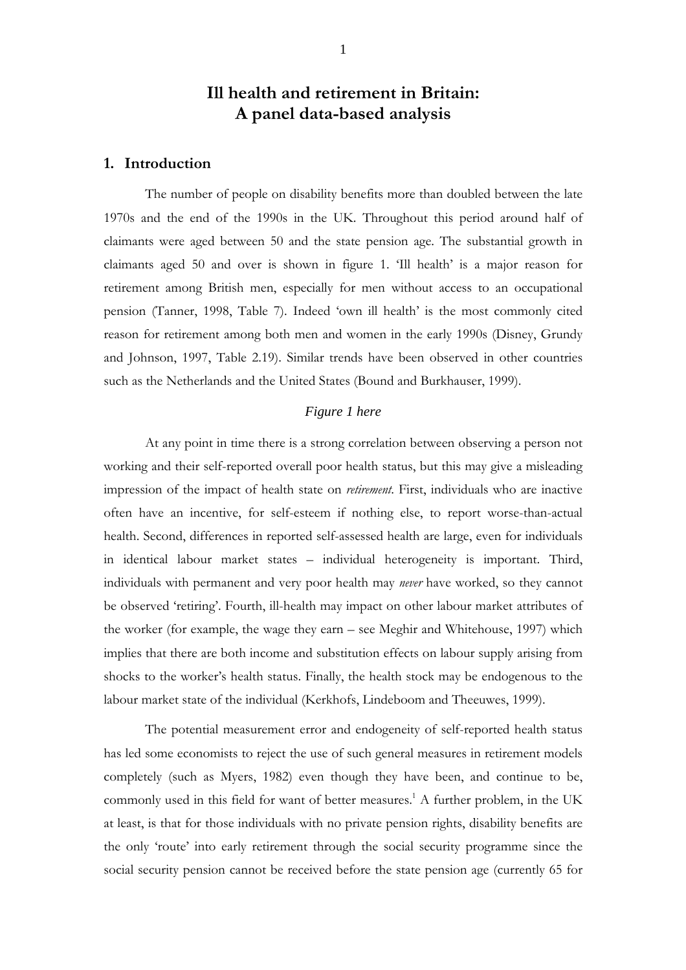# **Ill health and retirement in Britain: A panel data-based analysis**

## **1. Introduction**

The number of people on disability benefits more than doubled between the late 1970s and the end of the 1990s in the UK. Throughout this period around half of claimants were aged between 50 and the state pension age. The substantial growth in claimants aged 50 and over is shown in figure 1. 'Ill health' is a major reason for retirement among British men, especially for men without access to an occupational pension (Tanner, 1998, Table 7). Indeed 'own ill health' is the most commonly cited reason for retirement among both men and women in the early 1990s (Disney, Grundy and Johnson, 1997, Table 2.19). Similar trends have been observed in other countries such as the Netherlands and the United States (Bound and Burkhauser, 1999).

# *Figure 1 here*

At any point in time there is a strong correlation between observing a person not working and their self-reported overall poor health status, but this may give a misleading impression of the impact of health state on *retirement*. First, individuals who are inactive often have an incentive, for self-esteem if nothing else, to report worse-than-actual health. Second, differences in reported self-assessed health are large, even for individuals in identical labour market states – individual heterogeneity is important. Third, individuals with permanent and very poor health may *never* have worked, so they cannot be observed 'retiring'. Fourth, ill-health may impact on other labour market attributes of the worker (for example, the wage they earn – see Meghir and Whitehouse, 1997) which implies that there are both income and substitution effects on labour supply arising from shocks to the worker's health status. Finally, the health stock may be endogenous to the labour market state of the individual (Kerkhofs, Lindeboom and Theeuwes, 1999).

The potential measurement error and endogeneity of self-reported health status has led some economists to reject the use of such general measures in retirement models completely (such as Myers, 1982) even though they have been, and continue to be, commonly used in this field for want of better measures.<sup>1</sup> A further problem, in the UK at least, is that for those individuals with no private pension rights, disability benefits are the only 'route' into early retirement through the social security programme since the social security pension cannot be received before the state pension age (currently 65 for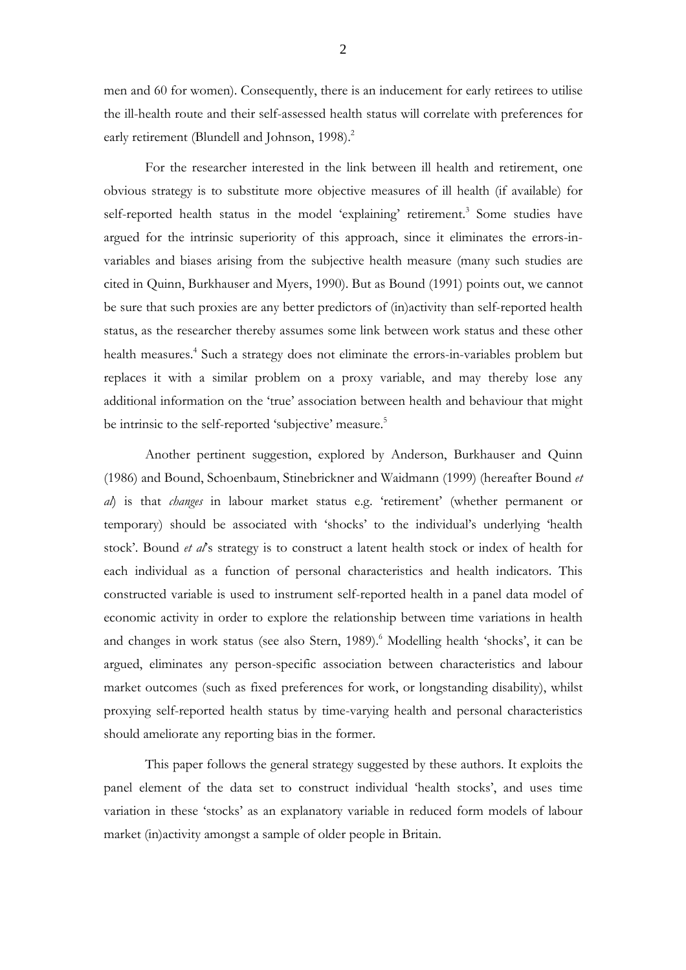men and 60 for women). Consequently, there is an inducement for early retirees to utilise the ill-health route and their self-assessed health status will correlate with preferences for early retirement (Blundell and Johnson, 1998).<sup>2</sup>

For the researcher interested in the link between ill health and retirement, one obvious strategy is to substitute more objective measures of ill health (if available) for self-reported health status in the model 'explaining' retirement.<sup>3</sup> Some studies have argued for the intrinsic superiority of this approach, since it eliminates the errors-invariables and biases arising from the subjective health measure (many such studies are cited in Quinn, Burkhauser and Myers, 1990). But as Bound (1991) points out, we cannot be sure that such proxies are any better predictors of (in)activity than self-reported health status, as the researcher thereby assumes some link between work status and these other health measures.<sup>4</sup> Such a strategy does not eliminate the errors-in-variables problem but replaces it with a similar problem on a proxy variable, and may thereby lose any additional information on the 'true' association between health and behaviour that might be intrinsic to the self-reported 'subjective' measure.<sup>5</sup>

Another pertinent suggestion, explored by Anderson, Burkhauser and Quinn (1986) and Bound, Schoenbaum, Stinebrickner and Waidmann (1999) (hereafter Bound *et al*) is that *changes* in labour market status e.g. 'retirement' (whether permanent or temporary) should be associated with 'shocks' to the individual's underlying 'health stock'. Bound *et al*'s strategy is to construct a latent health stock or index of health for each individual as a function of personal characteristics and health indicators. This constructed variable is used to instrument self-reported health in a panel data model of economic activity in order to explore the relationship between time variations in health and changes in work status (see also Stern, 1989).<sup>6</sup> Modelling health 'shocks', it can be argued, eliminates any person-specific association between characteristics and labour market outcomes (such as fixed preferences for work, or longstanding disability), whilst proxying self-reported health status by time-varying health and personal characteristics should ameliorate any reporting bias in the former.

This paper follows the general strategy suggested by these authors. It exploits the panel element of the data set to construct individual 'health stocks', and uses time variation in these 'stocks' as an explanatory variable in reduced form models of labour market (in)activity amongst a sample of older people in Britain.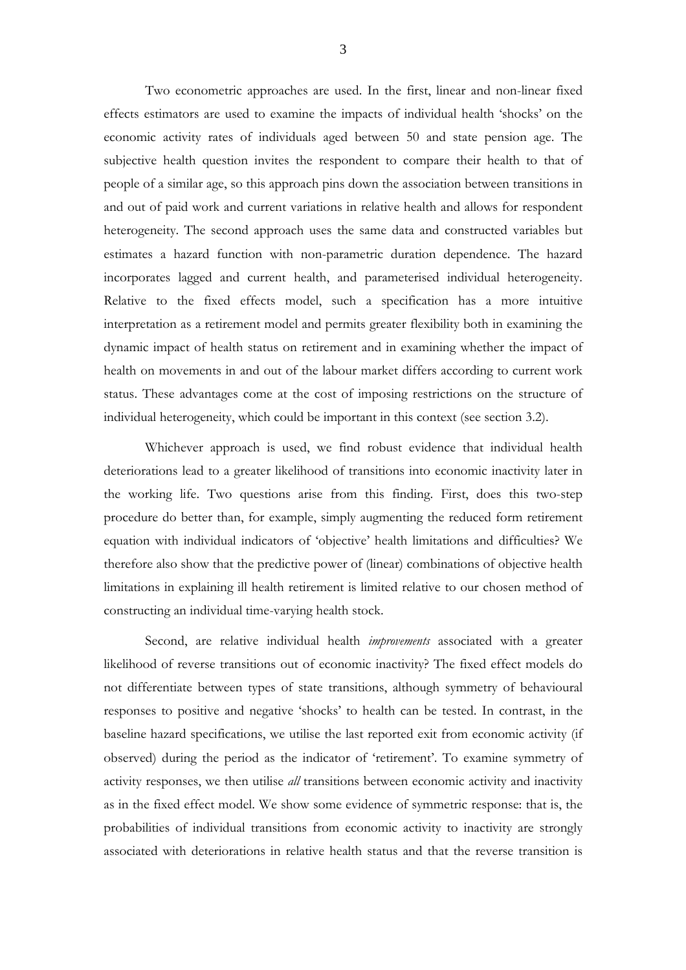Two econometric approaches are used. In the first, linear and non-linear fixed effects estimators are used to examine the impacts of individual health 'shocks' on the economic activity rates of individuals aged between 50 and state pension age. The subjective health question invites the respondent to compare their health to that of people of a similar age, so this approach pins down the association between transitions in and out of paid work and current variations in relative health and allows for respondent heterogeneity. The second approach uses the same data and constructed variables but estimates a hazard function with non-parametric duration dependence. The hazard incorporates lagged and current health, and parameterised individual heterogeneity. Relative to the fixed effects model, such a specification has a more intuitive interpretation as a retirement model and permits greater flexibility both in examining the dynamic impact of health status on retirement and in examining whether the impact of health on movements in and out of the labour market differs according to current work status. These advantages come at the cost of imposing restrictions on the structure of individual heterogeneity, which could be important in this context (see section 3.2).

Whichever approach is used, we find robust evidence that individual health deteriorations lead to a greater likelihood of transitions into economic inactivity later in the working life. Two questions arise from this finding. First, does this two-step procedure do better than, for example, simply augmenting the reduced form retirement equation with individual indicators of 'objective' health limitations and difficulties? We therefore also show that the predictive power of (linear) combinations of objective health limitations in explaining ill health retirement is limited relative to our chosen method of constructing an individual time-varying health stock.

Second, are relative individual health *improvements* associated with a greater likelihood of reverse transitions out of economic inactivity? The fixed effect models do not differentiate between types of state transitions, although symmetry of behavioural responses to positive and negative 'shocks' to health can be tested. In contrast, in the baseline hazard specifications, we utilise the last reported exit from economic activity (if observed) during the period as the indicator of 'retirement'. To examine symmetry of activity responses, we then utilise *all* transitions between economic activity and inactivity as in the fixed effect model. We show some evidence of symmetric response: that is, the probabilities of individual transitions from economic activity to inactivity are strongly associated with deteriorations in relative health status and that the reverse transition is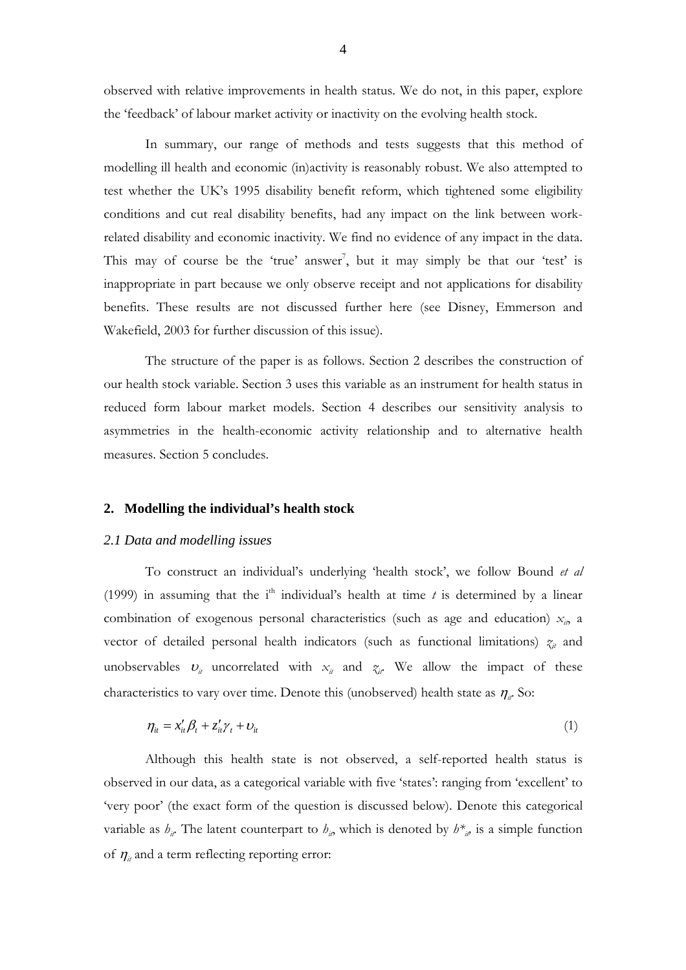observed with relative improvements in health status. We do not, in this paper, explore the 'feedback' of labour market activity or inactivity on the evolving health stock.

In summary, our range of methods and tests suggests that this method of modelling ill health and economic (in)activity is reasonably robust. We also attempted to test whether the UK's 1995 disability benefit reform, which tightened some eligibility conditions and cut real disability benefits, had any impact on the link between workrelated disability and economic inactivity. We find no evidence of any impact in the data. This may of course be the 'true' answer<sup>7</sup>, but it may simply be that our 'test' is inappropriate in part because we only observe receipt and not applications for disability benefits. These results are not discussed further here (see Disney, Emmerson and Wakefield, 2003 for further discussion of this issue).

The structure of the paper is as follows. Section 2 describes the construction of our health stock variable. Section 3 uses this variable as an instrument for health status in reduced form labour market models. Section 4 describes our sensitivity analysis to asymmetries in the health-economic activity relationship and to alternative health measures. Section 5 concludes.

#### **2. Modelling the individual's health stock**

#### *2.1 Data and modelling issues*

To construct an individual's underlying 'health stock', we follow Bound *et al* (1999) in assuming that the i<sup>th</sup> individual's health at time  $t$  is determined by a linear combination of exogenous personal characteristics (such as age and education)  $x_{ip}$  a vector of detailed personal health indicators (such as functional limitations)  $z_{it}$  and unobservables  $v_i$  uncorrelated with  $x_i$  and  $z_i$ . We allow the impact of these characteristics to vary over time. Denote this (unobserved) health state as  $\eta_{ir}$  So:

$$
\eta_{it} = x_{it}' \beta_t + z_{it}' \gamma_t + \upsilon_{it} \tag{1}
$$

Although this health state is not observed, a self-reported health status is observed in our data, as a categorical variable with five 'states': ranging from 'excellent' to 'very poor' (the exact form of the question is discussed below). Denote this categorical variable as  $h_{ir}$ . The latent counterpart to  $h_{ir}$ , which is denoted by  $h_{ir}^*$  is a simple function of  $\eta_i$  and a term reflecting reporting error: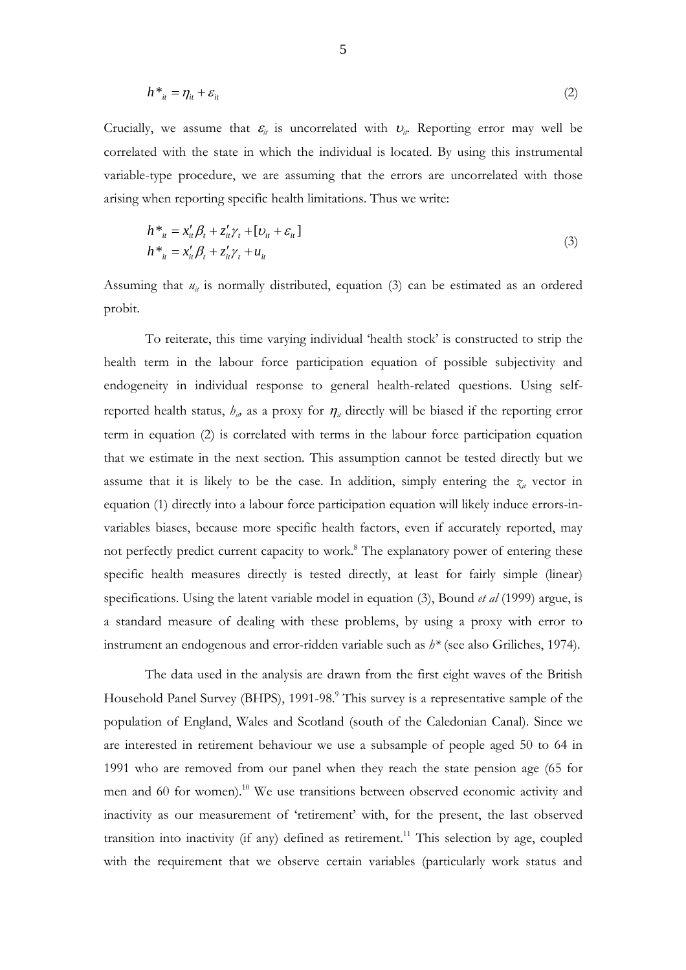$$
h^*_{it} = \eta_{it} + \varepsilon_{it} \tag{2}
$$

Crucially, we assume that  $\varepsilon$ <sub>*it*</sub> is uncorrelated with  $v$ <sub>*it*</sub>. Reporting error may well be correlated with the state in which the individual is located. By using this instrumental variable-type procedure, we are assuming that the errors are uncorrelated with those arising when reporting specific health limitations. Thus we write:

$$
h^*_{it} = x'_{it} \beta_t + z'_{it} \gamma_t + [v_{it} + \varepsilon_{it}]
$$
  
\n
$$
h^*_{it} = x'_{it} \beta_t + z'_{it} \gamma_t + u_{it}
$$
\n(3)

Assuming that  $u_{ii}$  is normally distributed, equation (3) can be estimated as an ordered probit.

 To reiterate, this time varying individual 'health stock' is constructed to strip the health term in the labour force participation equation of possible subjectivity and endogeneity in individual response to general health-related questions. Using selfreported health status,  $h_{ip}$  as a proxy for  $\eta_i$  directly will be biased if the reporting error term in equation (2) is correlated with terms in the labour force participation equation that we estimate in the next section. This assumption cannot be tested directly but we assume that it is likely to be the case. In addition, simply entering the  $\zeta_i$  vector in equation (1) directly into a labour force participation equation will likely induce errors-invariables biases, because more specific health factors, even if accurately reported, may not perfectly predict current capacity to work.<sup>8</sup> The explanatory power of entering these specific health measures directly is tested directly, at least for fairly simple (linear) specifications. Using the latent variable model in equation (3), Bound *et al* (1999) argue, is a standard measure of dealing with these problems, by using a proxy with error to instrument an endogenous and error-ridden variable such as *h\** (see also Griliches, 1974).

The data used in the analysis are drawn from the first eight waves of the British Household Panel Survey (BHPS), 1991-98.<sup>9</sup> This survey is a representative sample of the population of England, Wales and Scotland (south of the Caledonian Canal). Since we are interested in retirement behaviour we use a subsample of people aged 50 to 64 in 1991 who are removed from our panel when they reach the state pension age (65 for men and 60 for women).10 We use transitions between observed economic activity and inactivity as our measurement of 'retirement' with, for the present, the last observed transition into inactivity (if any) defined as retirement.<sup>11</sup> This selection by age, coupled with the requirement that we observe certain variables (particularly work status and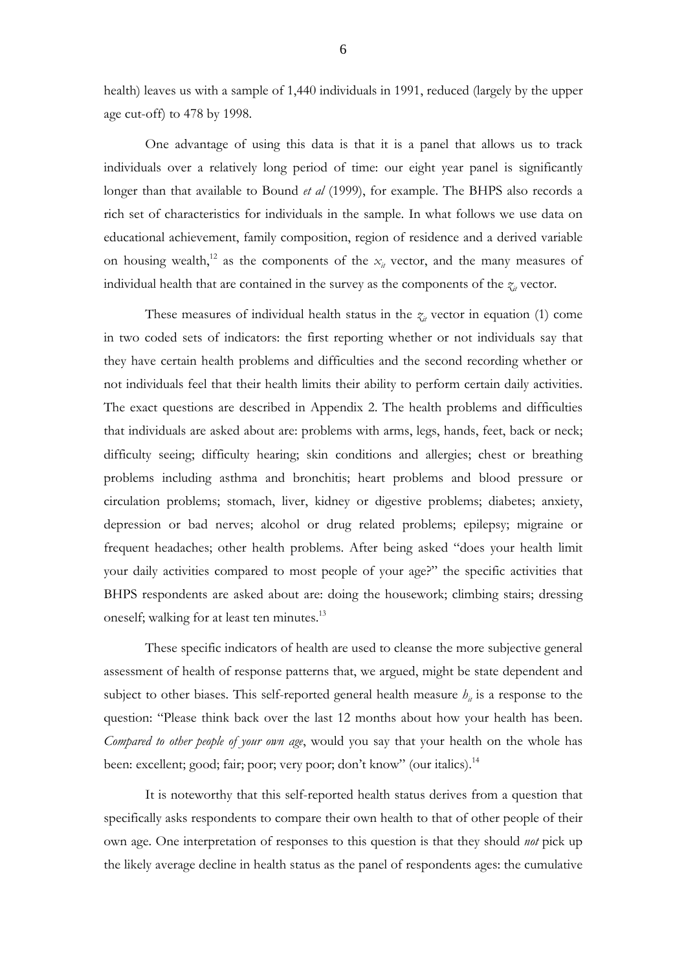health) leaves us with a sample of 1,440 individuals in 1991, reduced (largely by the upper age cut-off) to 478 by 1998.

One advantage of using this data is that it is a panel that allows us to track individuals over a relatively long period of time: our eight year panel is significantly longer than that available to Bound *et al* (1999), for example. The BHPS also records a rich set of characteristics for individuals in the sample. In what follows we use data on educational achievement, family composition, region of residence and a derived variable on housing wealth,<sup>12</sup> as the components of the  $x_i$  vector, and the many measures of individual health that are contained in the survey as the components of the  $\chi$ <sub>it</sub> vector.

These measures of individual health status in the  $z_{it}$  vector in equation (1) come in two coded sets of indicators: the first reporting whether or not individuals say that they have certain health problems and difficulties and the second recording whether or not individuals feel that their health limits their ability to perform certain daily activities. The exact questions are described in Appendix 2. The health problems and difficulties that individuals are asked about are: problems with arms, legs, hands, feet, back or neck; difficulty seeing; difficulty hearing; skin conditions and allergies; chest or breathing problems including asthma and bronchitis; heart problems and blood pressure or circulation problems; stomach, liver, kidney or digestive problems; diabetes; anxiety, depression or bad nerves; alcohol or drug related problems; epilepsy; migraine or frequent headaches; other health problems. After being asked "does your health limit your daily activities compared to most people of your age?" the specific activities that BHPS respondents are asked about are: doing the housework; climbing stairs; dressing oneself; walking for at least ten minutes.<sup>13</sup>

These specific indicators of health are used to cleanse the more subjective general assessment of health of response patterns that, we argued, might be state dependent and subject to other biases. This self-reported general health measure  $h_{it}$  is a response to the question: "Please think back over the last 12 months about how your health has been. *Compared to other people of your own age*, would you say that your health on the whole has been: excellent; good; fair; poor; very poor; don't know" (our italics).<sup>14</sup>

It is noteworthy that this self-reported health status derives from a question that specifically asks respondents to compare their own health to that of other people of their own age. One interpretation of responses to this question is that they should *not* pick up the likely average decline in health status as the panel of respondents ages: the cumulative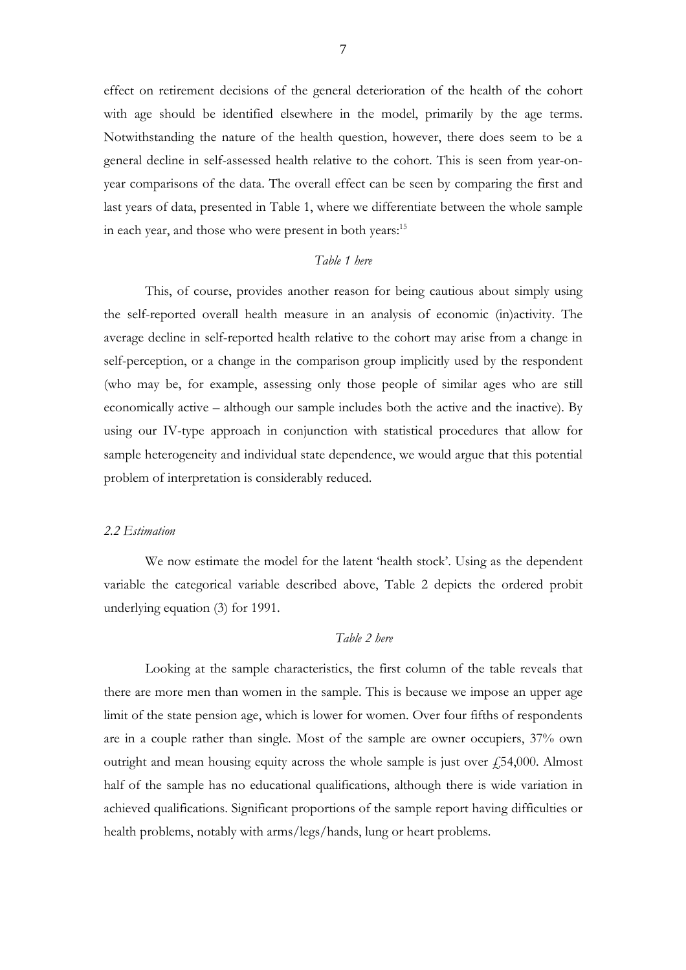effect on retirement decisions of the general deterioration of the health of the cohort with age should be identified elsewhere in the model, primarily by the age terms. Notwithstanding the nature of the health question, however, there does seem to be a general decline in self-assessed health relative to the cohort. This is seen from year-onyear comparisons of the data. The overall effect can be seen by comparing the first and last years of data, presented in Table 1, where we differentiate between the whole sample in each year, and those who were present in both years:<sup>15</sup>

# *Table 1 here*

This, of course, provides another reason for being cautious about simply using the self-reported overall health measure in an analysis of economic (in)activity. The average decline in self-reported health relative to the cohort may arise from a change in self-perception, or a change in the comparison group implicitly used by the respondent (who may be, for example, assessing only those people of similar ages who are still economically active – although our sample includes both the active and the inactive). By using our IV-type approach in conjunction with statistical procedures that allow for sample heterogeneity and individual state dependence, we would argue that this potential problem of interpretation is considerably reduced.

### *2.2 Estimation*

We now estimate the model for the latent 'health stock'. Using as the dependent variable the categorical variable described above, Table 2 depicts the ordered probit underlying equation (3) for 1991.

# *Table 2 here*

Looking at the sample characteristics, the first column of the table reveals that there are more men than women in the sample. This is because we impose an upper age limit of the state pension age, which is lower for women. Over four fifths of respondents are in a couple rather than single. Most of the sample are owner occupiers, 37% own outright and mean housing equity across the whole sample is just over  $\dot{\gamma}$  54,000. Almost half of the sample has no educational qualifications, although there is wide variation in achieved qualifications. Significant proportions of the sample report having difficulties or health problems, notably with arms/legs/hands, lung or heart problems.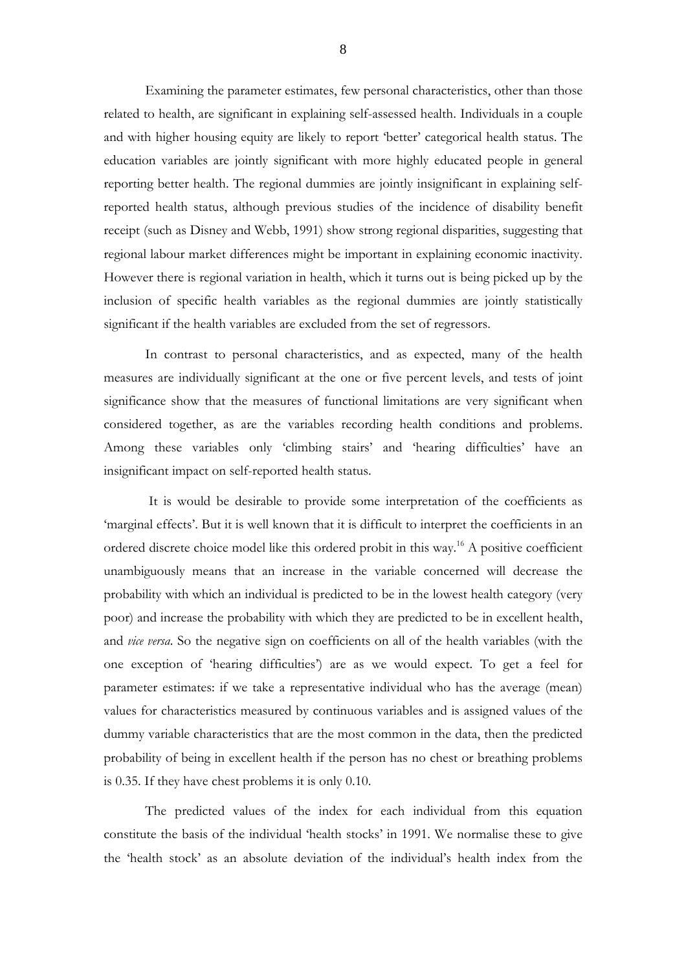Examining the parameter estimates, few personal characteristics, other than those related to health, are significant in explaining self-assessed health. Individuals in a couple and with higher housing equity are likely to report 'better' categorical health status. The education variables are jointly significant with more highly educated people in general reporting better health. The regional dummies are jointly insignificant in explaining selfreported health status, although previous studies of the incidence of disability benefit receipt (such as Disney and Webb, 1991) show strong regional disparities, suggesting that regional labour market differences might be important in explaining economic inactivity. However there is regional variation in health, which it turns out is being picked up by the inclusion of specific health variables as the regional dummies are jointly statistically significant if the health variables are excluded from the set of regressors.

In contrast to personal characteristics, and as expected, many of the health measures are individually significant at the one or five percent levels, and tests of joint significance show that the measures of functional limitations are very significant when considered together, as are the variables recording health conditions and problems. Among these variables only 'climbing stairs' and 'hearing difficulties' have an insignificant impact on self-reported health status.

It is would be desirable to provide some interpretation of the coefficients as 'marginal effects'. But it is well known that it is difficult to interpret the coefficients in an ordered discrete choice model like this ordered probit in this way.16 A positive coefficient unambiguously means that an increase in the variable concerned will decrease the probability with which an individual is predicted to be in the lowest health category (very poor) and increase the probability with which they are predicted to be in excellent health, and *vice versa*. So the negative sign on coefficients on all of the health variables (with the one exception of 'hearing difficulties') are as we would expect. To get a feel for parameter estimates: if we take a representative individual who has the average (mean) values for characteristics measured by continuous variables and is assigned values of the dummy variable characteristics that are the most common in the data, then the predicted probability of being in excellent health if the person has no chest or breathing problems is 0.35. If they have chest problems it is only 0.10.

The predicted values of the index for each individual from this equation constitute the basis of the individual 'health stocks' in 1991. We normalise these to give the 'health stock' as an absolute deviation of the individual's health index from the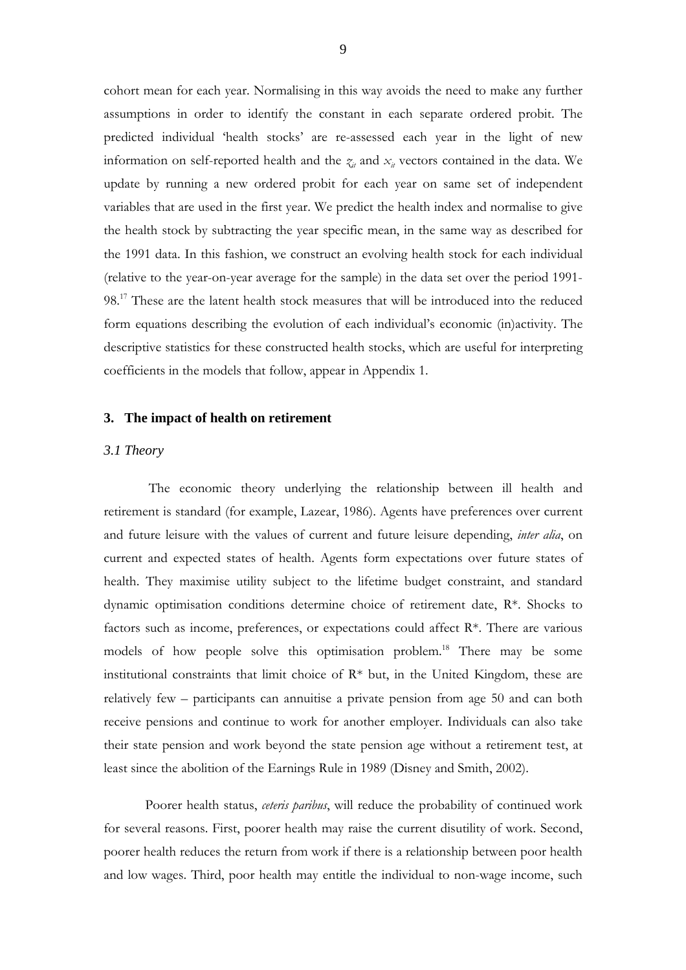cohort mean for each year. Normalising in this way avoids the need to make any further assumptions in order to identify the constant in each separate ordered probit. The predicted individual 'health stocks' are re-assessed each year in the light of new information on self-reported health and the  $z_{it}$  and  $x_{it}$  vectors contained in the data. We update by running a new ordered probit for each year on same set of independent variables that are used in the first year. We predict the health index and normalise to give the health stock by subtracting the year specific mean, in the same way as described for the 1991 data. In this fashion, we construct an evolving health stock for each individual (relative to the year-on-year average for the sample) in the data set over the period 1991- 98.<sup>17</sup> These are the latent health stock measures that will be introduced into the reduced form equations describing the evolution of each individual's economic (in)activity. The descriptive statistics for these constructed health stocks, which are useful for interpreting coefficients in the models that follow, appear in Appendix 1.

#### **3. The impact of health on retirement**

## *3.1 Theory*

The economic theory underlying the relationship between ill health and retirement is standard (for example, Lazear, 1986). Agents have preferences over current and future leisure with the values of current and future leisure depending, *inter alia*, on current and expected states of health. Agents form expectations over future states of health. They maximise utility subject to the lifetime budget constraint, and standard dynamic optimisation conditions determine choice of retirement date, R\*. Shocks to factors such as income, preferences, or expectations could affect R\*. There are various models of how people solve this optimisation problem.18 There may be some institutional constraints that limit choice of  $R*$  but, in the United Kingdom, these are relatively few – participants can annuitise a private pension from age 50 and can both receive pensions and continue to work for another employer. Individuals can also take their state pension and work beyond the state pension age without a retirement test, at least since the abolition of the Earnings Rule in 1989 (Disney and Smith, 2002).

Poorer health status, *ceteris paribus*, will reduce the probability of continued work for several reasons. First, poorer health may raise the current disutility of work. Second, poorer health reduces the return from work if there is a relationship between poor health and low wages. Third, poor health may entitle the individual to non-wage income, such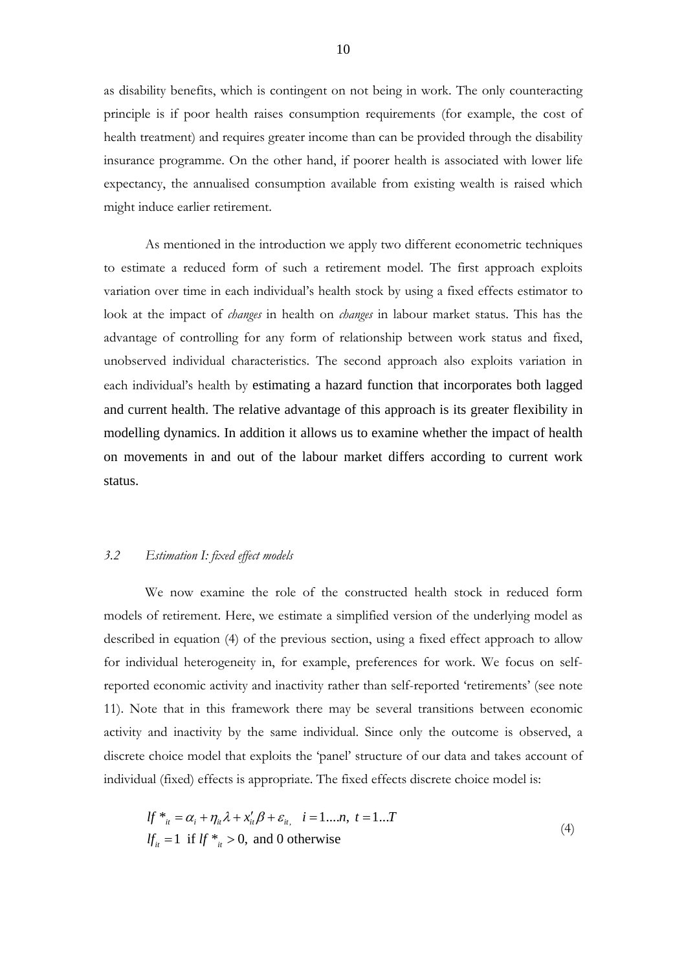as disability benefits, which is contingent on not being in work. The only counteracting principle is if poor health raises consumption requirements (for example, the cost of health treatment) and requires greater income than can be provided through the disability insurance programme. On the other hand, if poorer health is associated with lower life expectancy, the annualised consumption available from existing wealth is raised which might induce earlier retirement.

As mentioned in the introduction we apply two different econometric techniques to estimate a reduced form of such a retirement model. The first approach exploits variation over time in each individual's health stock by using a fixed effects estimator to look at the impact of *changes* in health on *changes* in labour market status. This has the advantage of controlling for any form of relationship between work status and fixed, unobserved individual characteristics. The second approach also exploits variation in each individual's health by estimating a hazard function that incorporates both lagged and current health. The relative advantage of this approach is its greater flexibility in modelling dynamics. In addition it allows us to examine whether the impact of health on movements in and out of the labour market differs according to current work status.

## *3.2 Estimation I: fixed effect models*

We now examine the role of the constructed health stock in reduced form models of retirement. Here, we estimate a simplified version of the underlying model as described in equation (4) of the previous section, using a fixed effect approach to allow for individual heterogeneity in, for example, preferences for work. We focus on selfreported economic activity and inactivity rather than self-reported 'retirements' (see note 11). Note that in this framework there may be several transitions between economic activity and inactivity by the same individual. Since only the outcome is observed, a discrete choice model that exploits the 'panel' structure of our data and takes account of individual (fixed) effects is appropriate. The fixed effects discrete choice model is:

$$
lf^*_{ii} = \alpha_i + \eta_{ii} \lambda + x_{ii}' \beta + \varepsilon_{ii}, \quad i = 1...n, \ t = 1...T
$$
  
\n
$$
lf_{ii} = 1 \text{ if } lf^*_{ii} > 0, \text{ and } 0 \text{ otherwise}
$$
\n(4)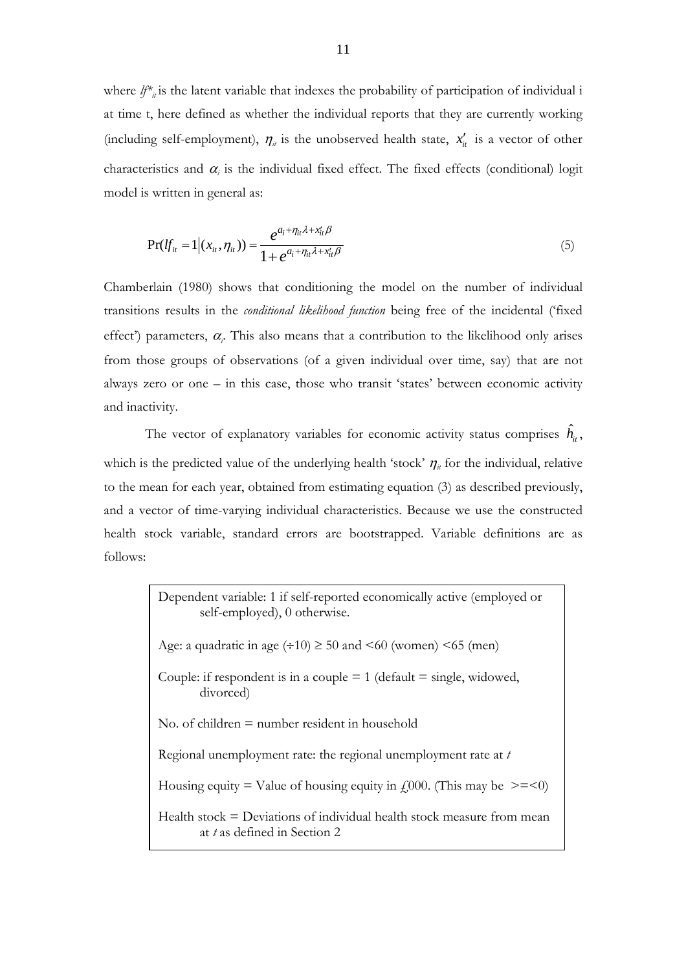where  $f^*$ <sub>*i*</sub> is the latent variable that indexes the probability of participation of individual i at time t, here defined as whether the individual reports that they are currently working (including self-employment),  $\eta_{ii}$  is the unobserved health state,  $x'_{ii}$  is a vector of other characteristics and  $\alpha$ <sub>i</sub> is the individual fixed effect. The fixed effects (conditional) logit model is written in general as:

$$
Pr(f_{it} = 1 | (x_{it}, \eta_{it})) = \frac{e^{a_i + \eta_{it}\lambda + x_{it}^t \beta}}{1 + e^{a_i + \eta_{it}\lambda + x_{it}^t \beta}}
$$
(5)

Chamberlain (1980) shows that conditioning the model on the number of individual transitions results in the *conditional likelihood function* being free of the incidental ('fixed effect') parameters,  $\alpha$ . This also means that a contribution to the likelihood only arises from those groups of observations (of a given individual over time, say) that are not always zero or one – in this case, those who transit 'states' between economic activity and inactivity.

The vector of explanatory variables for economic activity status comprises  $\hat{h}_i$ , which is the predicted value of the underlying health 'stock'  $\eta_i$  for the individual, relative to the mean for each year, obtained from estimating equation (3) as described previously, and a vector of time-varying individual characteristics. Because we use the constructed health stock variable, standard errors are bootstrapped. Variable definitions are as follows:

| Dependent variable: 1 if self-reported economically active (employed or<br>self-employed), 0 otherwise.  |
|----------------------------------------------------------------------------------------------------------|
| Age: a quadratic in age $(\div 10) \ge 50$ and $\le 60$ (women) $\le 65$ (men)                           |
| Couple: if respondent is in a couple $= 1$ (default $=$ single, widowed,<br>divorced)                    |
| No. of children $=$ number resident in household                                                         |
| Regional unemployment rate: the regional unemployment rate at t                                          |
| Housing equity = Value of housing equity in $f(000)$ . (This may be $\geq 0$ )                           |
| Health stock $=$ Deviations of individual health stock measure from mean<br>at t as defined in Section 2 |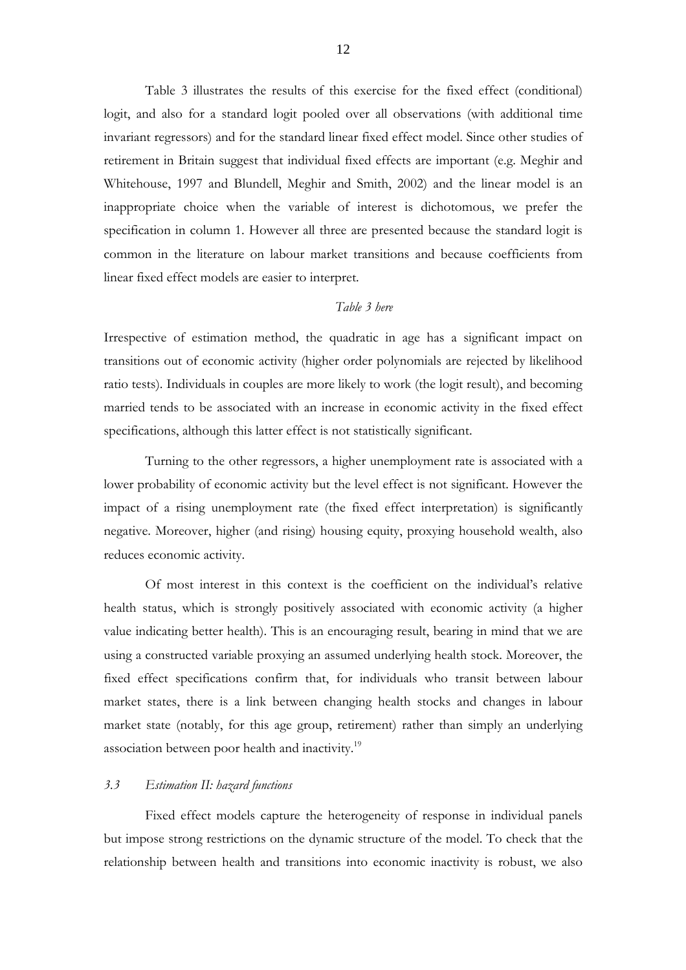Table 3 illustrates the results of this exercise for the fixed effect (conditional) logit, and also for a standard logit pooled over all observations (with additional time invariant regressors) and for the standard linear fixed effect model. Since other studies of retirement in Britain suggest that individual fixed effects are important (e.g. Meghir and Whitehouse, 1997 and Blundell, Meghir and Smith, 2002) and the linear model is an inappropriate choice when the variable of interest is dichotomous, we prefer the specification in column 1. However all three are presented because the standard logit is common in the literature on labour market transitions and because coefficients from linear fixed effect models are easier to interpret.

## *Table 3 here*

Irrespective of estimation method, the quadratic in age has a significant impact on transitions out of economic activity (higher order polynomials are rejected by likelihood ratio tests). Individuals in couples are more likely to work (the logit result), and becoming married tends to be associated with an increase in economic activity in the fixed effect specifications, although this latter effect is not statistically significant.

Turning to the other regressors, a higher unemployment rate is associated with a lower probability of economic activity but the level effect is not significant. However the impact of a rising unemployment rate (the fixed effect interpretation) is significantly negative. Moreover, higher (and rising) housing equity, proxying household wealth, also reduces economic activity.

Of most interest in this context is the coefficient on the individual's relative health status, which is strongly positively associated with economic activity (a higher value indicating better health). This is an encouraging result, bearing in mind that we are using a constructed variable proxying an assumed underlying health stock. Moreover, the fixed effect specifications confirm that, for individuals who transit between labour market states, there is a link between changing health stocks and changes in labour market state (notably, for this age group, retirement) rather than simply an underlying association between poor health and inactivity.19

#### *3.3 Estimation II: hazard functions*

Fixed effect models capture the heterogeneity of response in individual panels but impose strong restrictions on the dynamic structure of the model. To check that the relationship between health and transitions into economic inactivity is robust, we also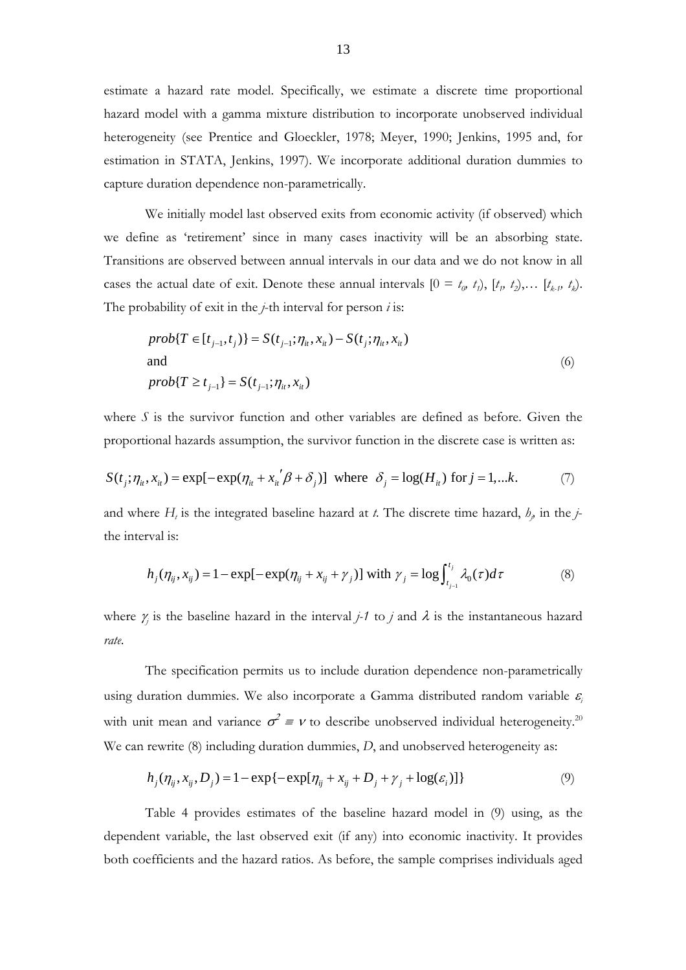estimate a hazard rate model. Specifically, we estimate a discrete time proportional hazard model with a gamma mixture distribution to incorporate unobserved individual heterogeneity (see Prentice and Gloeckler, 1978; Meyer, 1990; Jenkins, 1995 and, for estimation in STATA, Jenkins, 1997). We incorporate additional duration dummies to capture duration dependence non-parametrically.

We initially model last observed exits from economic activity (if observed) which we define as 'retirement' since in many cases inactivity will be an absorbing state. Transitions are observed between annual intervals in our data and we do not know in all cases the actual date of exit. Denote these annual intervals  $[0 = t_0, t_1]$ ,  $[t_1, t_2]$ ,...  $[t_k, t_k]$ . The probability of exit in the *j*-th interval for person *i* is:

$$
prob\{T \in [t_{j-1}, t_j)\} = S(t_{j-1}; \eta_i, x_{it}) - S(t_j; \eta_i, x_{it})
$$
  
and  

$$
prob\{T \ge t_{j-1}\} = S(t_{j-1}; \eta_i, x_{it})
$$
 (6)

where *S* is the survivor function and other variables are defined as before. Given the proportional hazards assumption, the survivor function in the discrete case is written as:

$$
S(t_j; \eta_u, x_u) = \exp[-\exp(\eta_u + x_u' \beta + \delta_j)] \text{ where } \delta_j = \log(H_u) \text{ for } j = 1, \dots k. \tag{7}
$$

and where  $H_t$  is the integrated baseline hazard at *t*. The discrete time hazard,  $h_p$  in the *j*the interval is:

$$
h_j(\eta_{ij}, x_{ij}) = 1 - \exp[-\exp(\eta_{ij} + x_{ij} + \gamma_j)] \text{ with } \gamma_j = \log \int_{t_{j-1}}^{t_j} \lambda_0(\tau) d\tau
$$
 (8)

where  $\gamma$  is the baseline hazard in the interval *j*-1 to *j* and  $\lambda$  is the instantaneous hazard *rate*.

The specification permits us to include duration dependence non-parametrically using duration dummies. We also incorporate a Gamma distributed random variable  $\varepsilon$ <sub>i</sub> with unit mean and variance  $\sigma^2 \equiv v$  to describe unobserved individual heterogeneity.<sup>20</sup> We can rewrite (8) including duration dummies, *D*, and unobserved heterogeneity as:

$$
h_j(\eta_{ij}, x_{ij}, D_j) = 1 - \exp\{-\exp[\eta_{ij} + x_{ij} + D_j + \gamma_j + \log(\varepsilon_i)]\}
$$
 (9)

Table 4 provides estimates of the baseline hazard model in (9) using, as the dependent variable, the last observed exit (if any) into economic inactivity. It provides both coefficients and the hazard ratios. As before, the sample comprises individuals aged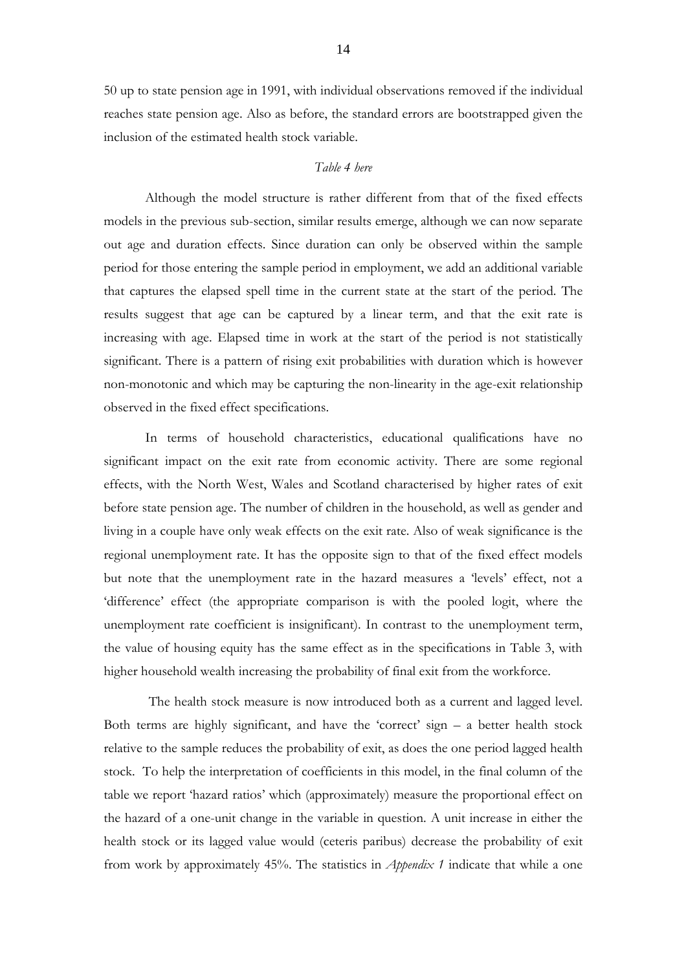50 up to state pension age in 1991, with individual observations removed if the individual reaches state pension age. Also as before, the standard errors are bootstrapped given the inclusion of the estimated health stock variable.

## *Table 4 here*

Although the model structure is rather different from that of the fixed effects models in the previous sub-section, similar results emerge, although we can now separate out age and duration effects. Since duration can only be observed within the sample period for those entering the sample period in employment, we add an additional variable that captures the elapsed spell time in the current state at the start of the period. The results suggest that age can be captured by a linear term, and that the exit rate is increasing with age. Elapsed time in work at the start of the period is not statistically significant. There is a pattern of rising exit probabilities with duration which is however non-monotonic and which may be capturing the non-linearity in the age-exit relationship observed in the fixed effect specifications.

In terms of household characteristics, educational qualifications have no significant impact on the exit rate from economic activity. There are some regional effects, with the North West, Wales and Scotland characterised by higher rates of exit before state pension age. The number of children in the household, as well as gender and living in a couple have only weak effects on the exit rate. Also of weak significance is the regional unemployment rate. It has the opposite sign to that of the fixed effect models but note that the unemployment rate in the hazard measures a 'levels' effect, not a 'difference' effect (the appropriate comparison is with the pooled logit, where the unemployment rate coefficient is insignificant). In contrast to the unemployment term, the value of housing equity has the same effect as in the specifications in Table 3, with higher household wealth increasing the probability of final exit from the workforce.

 The health stock measure is now introduced both as a current and lagged level. Both terms are highly significant, and have the 'correct' sign – a better health stock relative to the sample reduces the probability of exit, as does the one period lagged health stock. To help the interpretation of coefficients in this model, in the final column of the table we report 'hazard ratios' which (approximately) measure the proportional effect on the hazard of a one-unit change in the variable in question. A unit increase in either the health stock or its lagged value would (ceteris paribus) decrease the probability of exit from work by approximately 45%. The statistics in *Appendix 1* indicate that while a one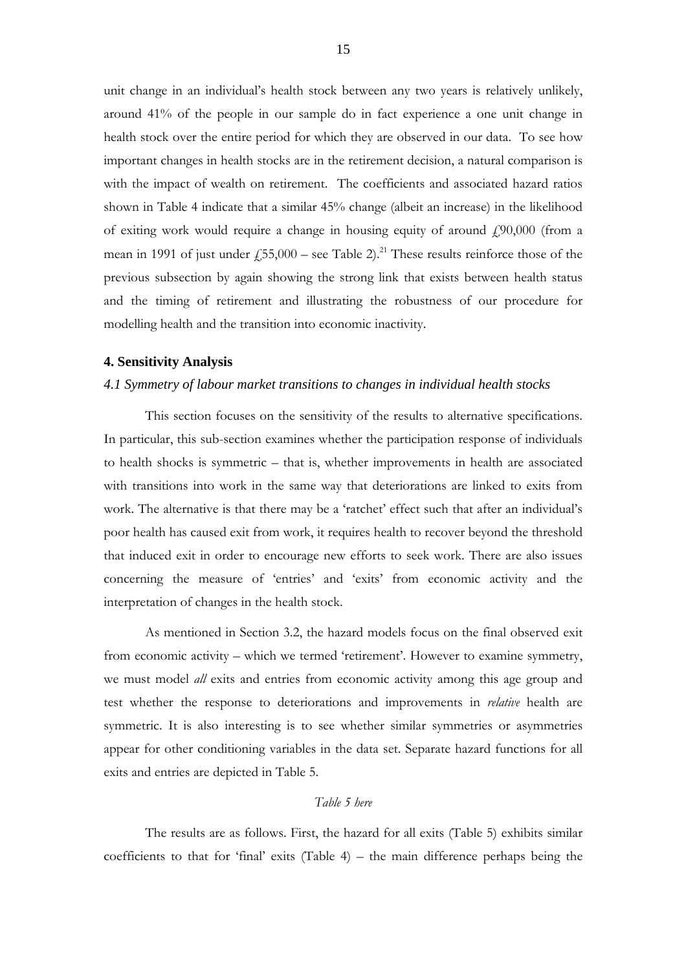unit change in an individual's health stock between any two years is relatively unlikely, around 41% of the people in our sample do in fact experience a one unit change in health stock over the entire period for which they are observed in our data. To see how important changes in health stocks are in the retirement decision, a natural comparison is with the impact of wealth on retirement. The coefficients and associated hazard ratios shown in Table 4 indicate that a similar 45% change (albeit an increase) in the likelihood of exiting work would require a change in housing equity of around  $f(90,000)$  (from a mean in 1991 of just under  $\ell$ , 55,000 – see Table 2).<sup>21</sup> These results reinforce those of the previous subsection by again showing the strong link that exists between health status and the timing of retirement and illustrating the robustness of our procedure for modelling health and the transition into economic inactivity.

#### **4. Sensitivity Analysis**

## *4.1 Symmetry of labour market transitions to changes in individual health stocks*

This section focuses on the sensitivity of the results to alternative specifications. In particular, this sub-section examines whether the participation response of individuals to health shocks is symmetric – that is, whether improvements in health are associated with transitions into work in the same way that deteriorations are linked to exits from work. The alternative is that there may be a 'ratchet' effect such that after an individual's poor health has caused exit from work, it requires health to recover beyond the threshold that induced exit in order to encourage new efforts to seek work. There are also issues concerning the measure of 'entries' and 'exits' from economic activity and the interpretation of changes in the health stock.

As mentioned in Section 3.2, the hazard models focus on the final observed exit from economic activity – which we termed 'retirement'. However to examine symmetry, we must model *all* exits and entries from economic activity among this age group and test whether the response to deteriorations and improvements in *relative* health are symmetric. It is also interesting is to see whether similar symmetries or asymmetries appear for other conditioning variables in the data set. Separate hazard functions for all exits and entries are depicted in Table 5.

## *Table 5 here*

The results are as follows. First, the hazard for all exits (Table 5) exhibits similar coefficients to that for 'final' exits (Table 4) – the main difference perhaps being the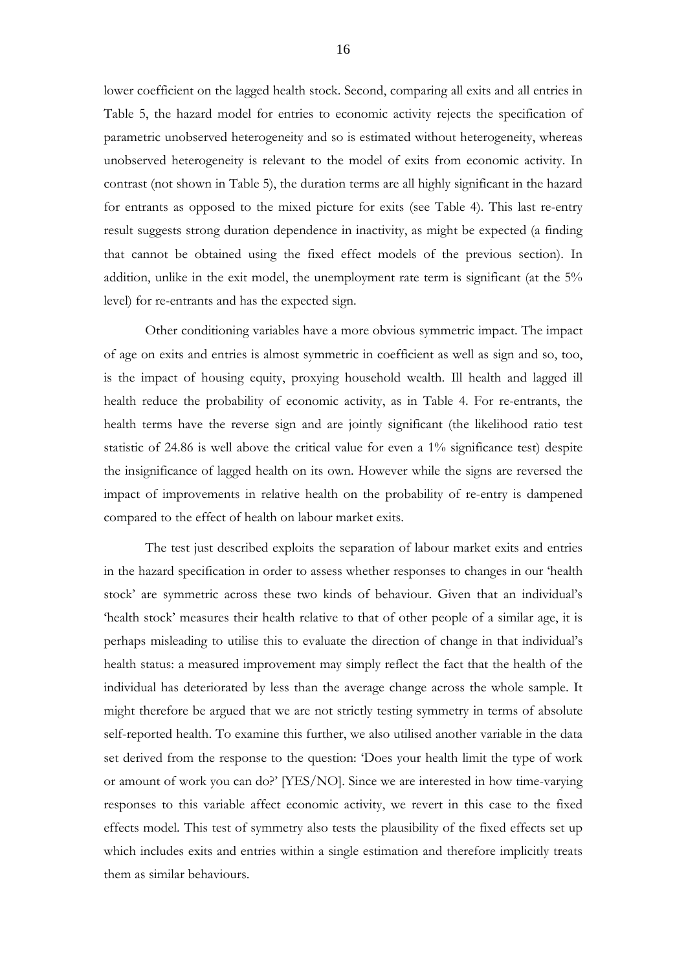lower coefficient on the lagged health stock. Second, comparing all exits and all entries in Table 5, the hazard model for entries to economic activity rejects the specification of parametric unobserved heterogeneity and so is estimated without heterogeneity, whereas unobserved heterogeneity is relevant to the model of exits from economic activity. In contrast (not shown in Table 5), the duration terms are all highly significant in the hazard for entrants as opposed to the mixed picture for exits (see Table 4). This last re-entry result suggests strong duration dependence in inactivity, as might be expected (a finding that cannot be obtained using the fixed effect models of the previous section). In addition, unlike in the exit model, the unemployment rate term is significant (at the 5% level) for re-entrants and has the expected sign.

Other conditioning variables have a more obvious symmetric impact. The impact of age on exits and entries is almost symmetric in coefficient as well as sign and so, too, is the impact of housing equity, proxying household wealth. Ill health and lagged ill health reduce the probability of economic activity, as in Table 4. For re-entrants, the health terms have the reverse sign and are jointly significant (the likelihood ratio test statistic of 24.86 is well above the critical value for even a 1% significance test) despite the insignificance of lagged health on its own. However while the signs are reversed the impact of improvements in relative health on the probability of re-entry is dampened compared to the effect of health on labour market exits.

The test just described exploits the separation of labour market exits and entries in the hazard specification in order to assess whether responses to changes in our 'health stock' are symmetric across these two kinds of behaviour. Given that an individual's 'health stock' measures their health relative to that of other people of a similar age, it is perhaps misleading to utilise this to evaluate the direction of change in that individual's health status: a measured improvement may simply reflect the fact that the health of the individual has deteriorated by less than the average change across the whole sample. It might therefore be argued that we are not strictly testing symmetry in terms of absolute self-reported health. To examine this further, we also utilised another variable in the data set derived from the response to the question: 'Does your health limit the type of work or amount of work you can do?' [YES/NO]. Since we are interested in how time-varying responses to this variable affect economic activity, we revert in this case to the fixed effects model. This test of symmetry also tests the plausibility of the fixed effects set up which includes exits and entries within a single estimation and therefore implicitly treats them as similar behaviours.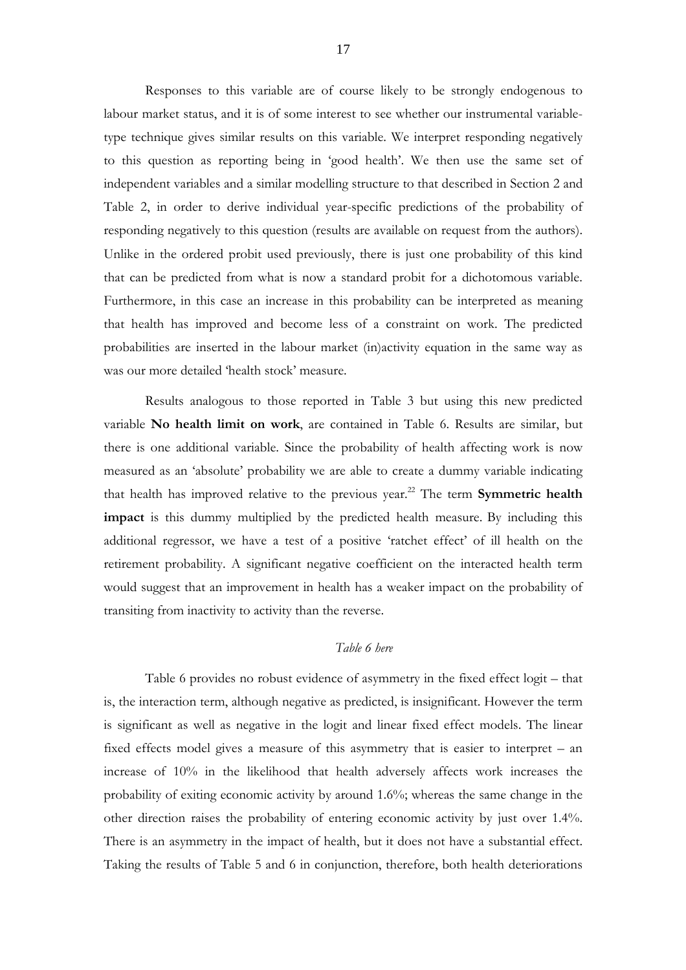Responses to this variable are of course likely to be strongly endogenous to labour market status, and it is of some interest to see whether our instrumental variabletype technique gives similar results on this variable. We interpret responding negatively to this question as reporting being in 'good health'. We then use the same set of independent variables and a similar modelling structure to that described in Section 2 and Table 2, in order to derive individual year-specific predictions of the probability of responding negatively to this question (results are available on request from the authors). Unlike in the ordered probit used previously, there is just one probability of this kind that can be predicted from what is now a standard probit for a dichotomous variable. Furthermore, in this case an increase in this probability can be interpreted as meaning that health has improved and become less of a constraint on work. The predicted probabilities are inserted in the labour market (in)activity equation in the same way as was our more detailed 'health stock' measure.

Results analogous to those reported in Table 3 but using this new predicted variable **No health limit on work**, are contained in Table 6. Results are similar, but there is one additional variable. Since the probability of health affecting work is now measured as an 'absolute' probability we are able to create a dummy variable indicating that health has improved relative to the previous year.<sup>22</sup> The term **Symmetric health impact** is this dummy multiplied by the predicted health measure. By including this additional regressor, we have a test of a positive 'ratchet effect' of ill health on the retirement probability. A significant negative coefficient on the interacted health term would suggest that an improvement in health has a weaker impact on the probability of transiting from inactivity to activity than the reverse.

# *Table 6 here*

Table 6 provides no robust evidence of asymmetry in the fixed effect logit – that is, the interaction term, although negative as predicted, is insignificant. However the term is significant as well as negative in the logit and linear fixed effect models. The linear fixed effects model gives a measure of this asymmetry that is easier to interpret – an increase of 10% in the likelihood that health adversely affects work increases the probability of exiting economic activity by around 1.6%; whereas the same change in the other direction raises the probability of entering economic activity by just over 1.4%. There is an asymmetry in the impact of health, but it does not have a substantial effect. Taking the results of Table 5 and 6 in conjunction, therefore, both health deteriorations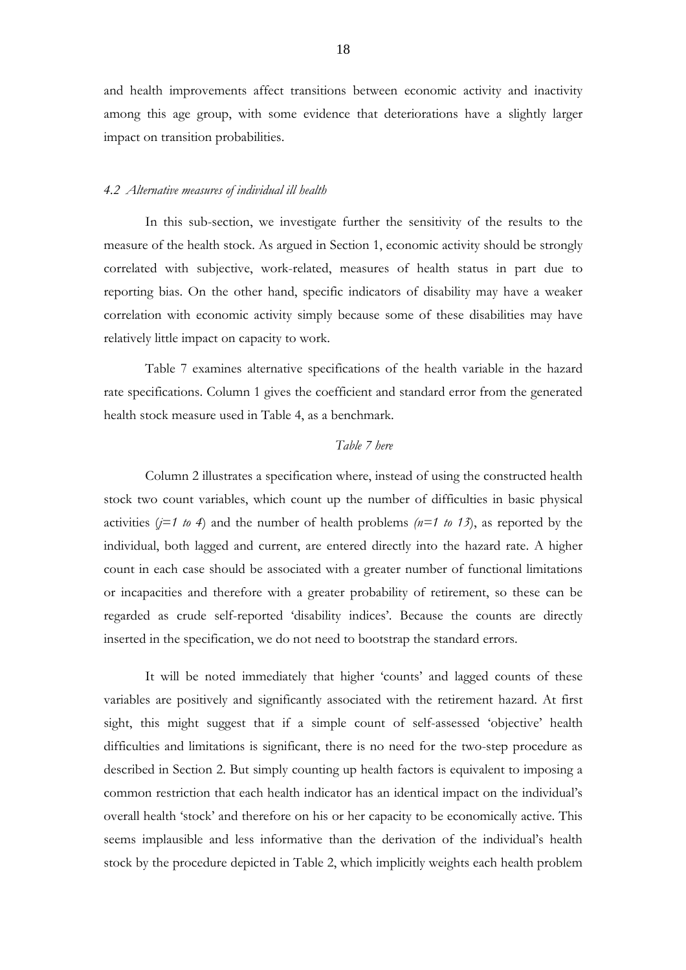and health improvements affect transitions between economic activity and inactivity among this age group, with some evidence that deteriorations have a slightly larger impact on transition probabilities.

#### *4.2 Alternative measures of individual ill health*

In this sub-section, we investigate further the sensitivity of the results to the measure of the health stock. As argued in Section 1, economic activity should be strongly correlated with subjective, work-related, measures of health status in part due to reporting bias. On the other hand, specific indicators of disability may have a weaker correlation with economic activity simply because some of these disabilities may have relatively little impact on capacity to work.

Table 7 examines alternative specifications of the health variable in the hazard rate specifications. Column 1 gives the coefficient and standard error from the generated health stock measure used in Table 4, as a benchmark.

# *Table 7 here*

Column 2 illustrates a specification where, instead of using the constructed health stock two count variables, which count up the number of difficulties in basic physical activities  $(j=1 \text{ to } 4)$  and the number of health problems  $(n=1 \text{ to } 13)$ , as reported by the individual, both lagged and current, are entered directly into the hazard rate. A higher count in each case should be associated with a greater number of functional limitations or incapacities and therefore with a greater probability of retirement, so these can be regarded as crude self-reported 'disability indices'. Because the counts are directly inserted in the specification, we do not need to bootstrap the standard errors.

It will be noted immediately that higher 'counts' and lagged counts of these variables are positively and significantly associated with the retirement hazard. At first sight, this might suggest that if a simple count of self-assessed 'objective' health difficulties and limitations is significant, there is no need for the two-step procedure as described in Section 2. But simply counting up health factors is equivalent to imposing a common restriction that each health indicator has an identical impact on the individual's overall health 'stock' and therefore on his or her capacity to be economically active. This seems implausible and less informative than the derivation of the individual's health stock by the procedure depicted in Table 2, which implicitly weights each health problem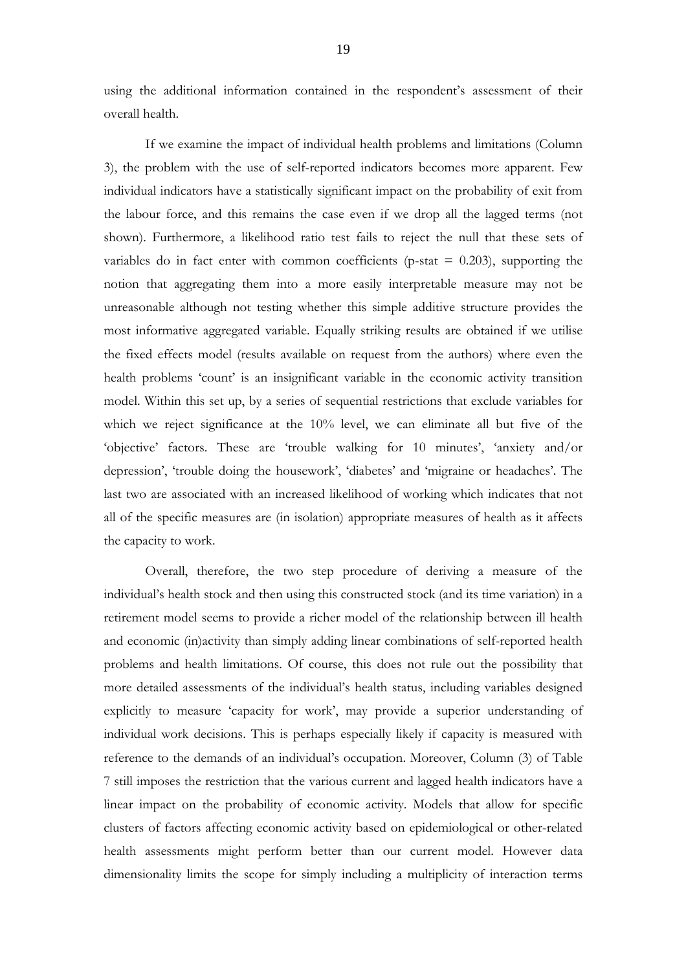using the additional information contained in the respondent's assessment of their overall health.

If we examine the impact of individual health problems and limitations (Column 3), the problem with the use of self-reported indicators becomes more apparent. Few individual indicators have a statistically significant impact on the probability of exit from the labour force, and this remains the case even if we drop all the lagged terms (not shown). Furthermore, a likelihood ratio test fails to reject the null that these sets of variables do in fact enter with common coefficients (p-stat  $= 0.203$ ), supporting the notion that aggregating them into a more easily interpretable measure may not be unreasonable although not testing whether this simple additive structure provides the most informative aggregated variable. Equally striking results are obtained if we utilise the fixed effects model (results available on request from the authors) where even the health problems 'count' is an insignificant variable in the economic activity transition model. Within this set up, by a series of sequential restrictions that exclude variables for which we reject significance at the 10% level, we can eliminate all but five of the 'objective' factors. These are 'trouble walking for 10 minutes', 'anxiety and/or depression', 'trouble doing the housework', 'diabetes' and 'migraine or headaches'. The last two are associated with an increased likelihood of working which indicates that not all of the specific measures are (in isolation) appropriate measures of health as it affects the capacity to work.

Overall, therefore, the two step procedure of deriving a measure of the individual's health stock and then using this constructed stock (and its time variation) in a retirement model seems to provide a richer model of the relationship between ill health and economic (in)activity than simply adding linear combinations of self-reported health problems and health limitations. Of course, this does not rule out the possibility that more detailed assessments of the individual's health status, including variables designed explicitly to measure 'capacity for work', may provide a superior understanding of individual work decisions. This is perhaps especially likely if capacity is measured with reference to the demands of an individual's occupation. Moreover, Column (3) of Table 7 still imposes the restriction that the various current and lagged health indicators have a linear impact on the probability of economic activity. Models that allow for specific clusters of factors affecting economic activity based on epidemiological or other-related health assessments might perform better than our current model. However data dimensionality limits the scope for simply including a multiplicity of interaction terms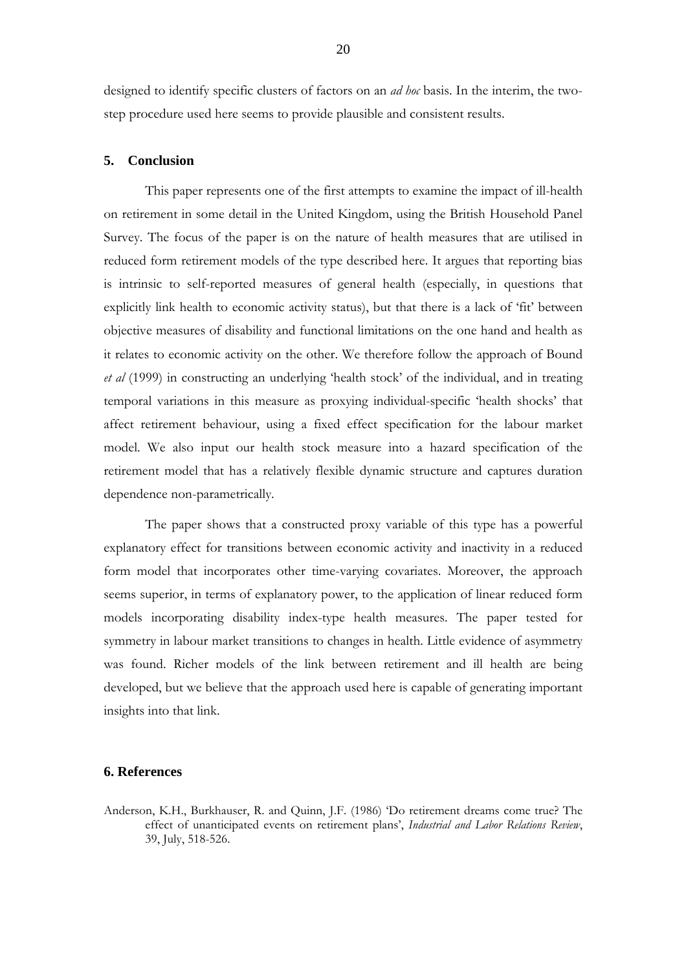designed to identify specific clusters of factors on an *ad hoc* basis. In the interim, the twostep procedure used here seems to provide plausible and consistent results.

## **5. Conclusion**

This paper represents one of the first attempts to examine the impact of ill-health on retirement in some detail in the United Kingdom, using the British Household Panel Survey. The focus of the paper is on the nature of health measures that are utilised in reduced form retirement models of the type described here. It argues that reporting bias is intrinsic to self-reported measures of general health (especially, in questions that explicitly link health to economic activity status), but that there is a lack of 'fit' between objective measures of disability and functional limitations on the one hand and health as it relates to economic activity on the other. We therefore follow the approach of Bound *et al* (1999) in constructing an underlying 'health stock' of the individual, and in treating temporal variations in this measure as proxying individual-specific 'health shocks' that affect retirement behaviour, using a fixed effect specification for the labour market model. We also input our health stock measure into a hazard specification of the retirement model that has a relatively flexible dynamic structure and captures duration dependence non-parametrically.

The paper shows that a constructed proxy variable of this type has a powerful explanatory effect for transitions between economic activity and inactivity in a reduced form model that incorporates other time-varying covariates. Moreover, the approach seems superior, in terms of explanatory power, to the application of linear reduced form models incorporating disability index-type health measures. The paper tested for symmetry in labour market transitions to changes in health. Little evidence of asymmetry was found. Richer models of the link between retirement and ill health are being developed, but we believe that the approach used here is capable of generating important insights into that link.

#### **6. References**

Anderson, K.H., Burkhauser, R. and Quinn, J.F. (1986) 'Do retirement dreams come true? The effect of unanticipated events on retirement plans', *Industrial and Labor Relations Review*, 39, July, 518-526.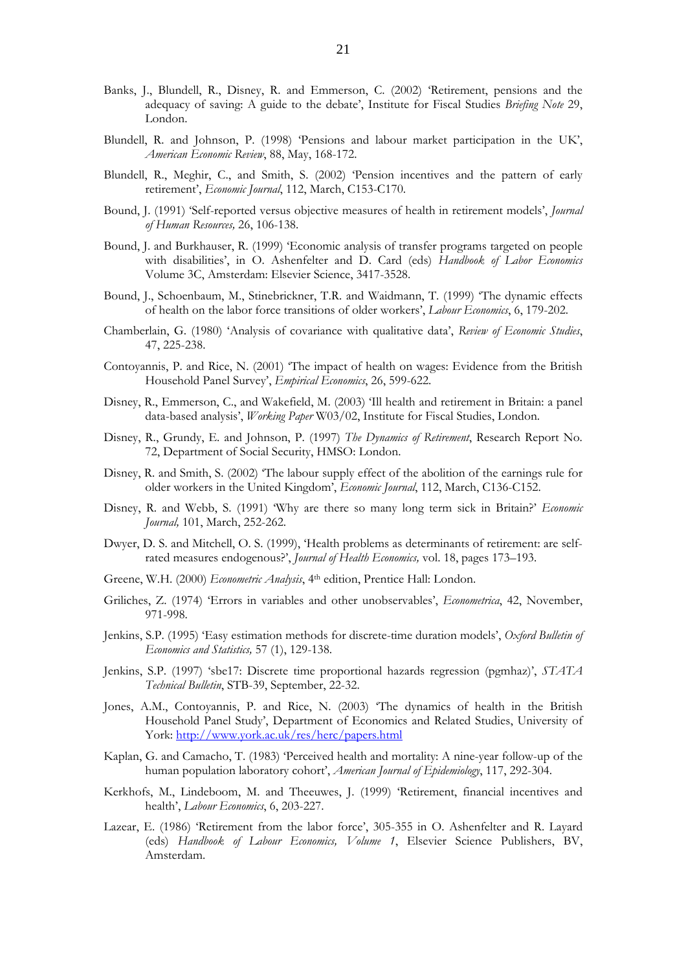- Banks, J., Blundell, R., Disney, R. and Emmerson, C. (2002) 'Retirement, pensions and the adequacy of saving: A guide to the debate', Institute for Fiscal Studies *Briefing Note* 29, London.
- Blundell, R. and Johnson, P. (1998) 'Pensions and labour market participation in the UK', *American Economic Review*, 88, May, 168-172.
- Blundell, R., Meghir, C., and Smith, S. (2002) 'Pension incentives and the pattern of early retirement', *Economic Journal*, 112, March, C153-C170.
- Bound, J. (1991) 'Self-reported versus objective measures of health in retirement models', *Journal of Human Resources,* 26, 106-138.
- Bound, J. and Burkhauser, R. (1999) 'Economic analysis of transfer programs targeted on people with disabilities', in O. Ashenfelter and D. Card (eds) *Handbook of Labor Economics* Volume 3C, Amsterdam: Elsevier Science, 3417-3528.
- Bound, J., Schoenbaum, M., Stinebrickner, T.R. and Waidmann, T. (1999) 'The dynamic effects of health on the labor force transitions of older workers', *Labour Economics*, 6, 179-202.
- Chamberlain, G. (1980) 'Analysis of covariance with qualitative data', *Review of Economic Studies*, 47, 225-238.
- Contoyannis, P. and Rice, N. (2001) 'The impact of health on wages: Evidence from the British Household Panel Survey', *Empirical Economics*, 26, 599-622.
- Disney, R., Emmerson, C., and Wakefield, M. (2003) 'Ill health and retirement in Britain: a panel data-based analysis', *Working Paper* W03/02, Institute for Fiscal Studies, London.
- Disney, R., Grundy, E. and Johnson, P. (1997) *The Dynamics of Retirement*, Research Report No. 72, Department of Social Security, HMSO: London.
- Disney, R. and Smith, S. (2002) 'The labour supply effect of the abolition of the earnings rule for older workers in the United Kingdom', *Economic Journal*, 112, March, C136-C152.
- Disney, R. and Webb, S. (1991) 'Why are there so many long term sick in Britain?' *Economic Journal,* 101, March, 252-262.
- Dwyer, D. S. and Mitchell, O. S. (1999), 'Health problems as determinants of retirement: are selfrated measures endogenous?', *Journal of Health Economics,* vol. 18, pages 173–193.
- Greene, W.H. (2000) *Econometric Analysis*, 4th edition, Prentice Hall: London.
- Griliches, Z. (1974) 'Errors in variables and other unobservables', *Econometrica*, 42, November, 971-998.
- Jenkins, S.P. (1995) 'Easy estimation methods for discrete-time duration models', *Oxford Bulletin of Economics and Statistics,* 57 (1), 129-138.
- Jenkins, S.P. (1997) 'sbe17: Discrete time proportional hazards regression (pgmhaz)', *STATA Technical Bulletin*, STB-39, September, 22-32.
- Jones, A.M., Contoyannis, P. and Rice, N. (2003) 'The dynamics of health in the British Household Panel Study', Department of Economics and Related Studies, University of York: http://www.york.ac.uk/res/herc/papers.html
- Kaplan, G. and Camacho, T. (1983) 'Perceived health and mortality: A nine-year follow-up of the human population laboratory cohort', *American Journal of Epidemiology*, 117, 292-304.
- Kerkhofs, M., Lindeboom, M. and Theeuwes, J. (1999) 'Retirement, financial incentives and health', *Labour Economics*, 6, 203-227.
- Lazear, E. (1986) 'Retirement from the labor force', 305-355 in O. Ashenfelter and R. Layard (eds) *Handbook of Labour Economics, Volume 1*, Elsevier Science Publishers, BV, Amsterdam.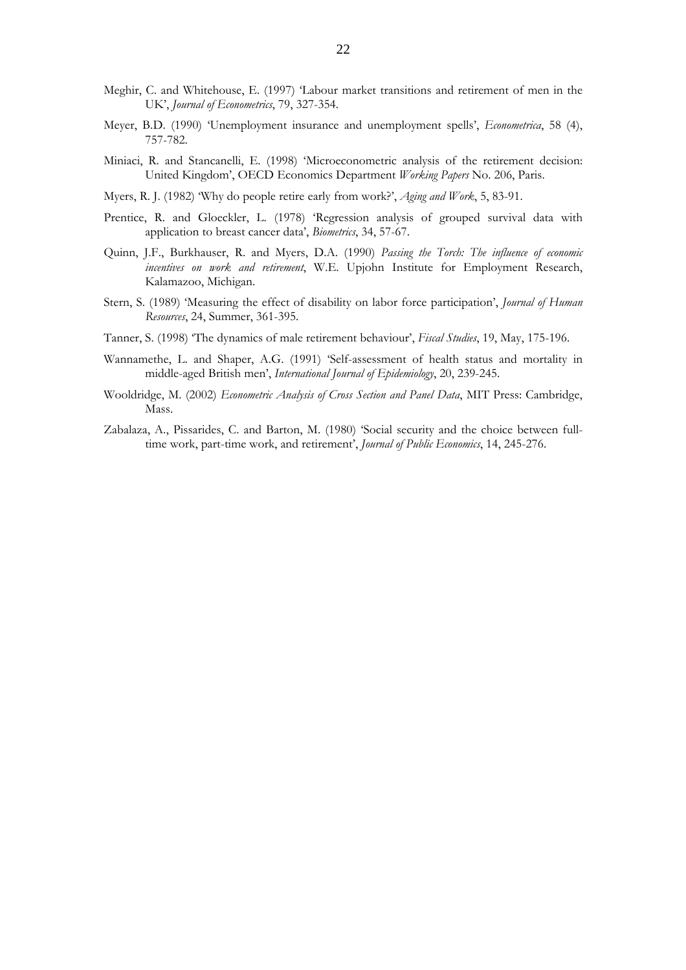- Meghir, C. and Whitehouse, E. (1997) 'Labour market transitions and retirement of men in the UK', *Journal of Econometrics*, 79, 327-354.
- Meyer, B.D. (1990) 'Unemployment insurance and unemployment spells', *Econometrica*, 58 (4), 757-782.
- Miniaci, R. and Stancanelli, E. (1998) 'Microeconometric analysis of the retirement decision: United Kingdom', OECD Economics Department *Working Papers* No. 206, Paris.
- Myers, R. J. (1982) 'Why do people retire early from work?', *Aging and Work*, 5, 83-91.
- Prentice, R. and Gloeckler, L. (1978) 'Regression analysis of grouped survival data with application to breast cancer data', *Biometrics*, 34, 57-67.
- Quinn, J.F., Burkhauser, R. and Myers, D.A. (1990) *Passing the Torch: The influence of economic incentives on work and retirement*, W.E. Upjohn Institute for Employment Research, Kalamazoo, Michigan.
- Stern, S. (1989) 'Measuring the effect of disability on labor force participation', *Journal of Human Resources*, 24, Summer, 361-395.
- Tanner, S. (1998) 'The dynamics of male retirement behaviour', *Fiscal Studies*, 19, May, 175-196.
- Wannamethe, L. and Shaper, A.G. (1991) 'Self-assessment of health status and mortality in middle-aged British men', *International Journal of Epidemiology*, 20, 239-245.
- Wooldridge, M. (2002) *Econometric Analysis of Cross Section and Panel Data*, MIT Press: Cambridge, Mass.
- Zabalaza, A., Pissarides, C. and Barton, M. (1980) 'Social security and the choice between fulltime work, part-time work, and retirement', *Journal of Public Economics*, 14, 245-276.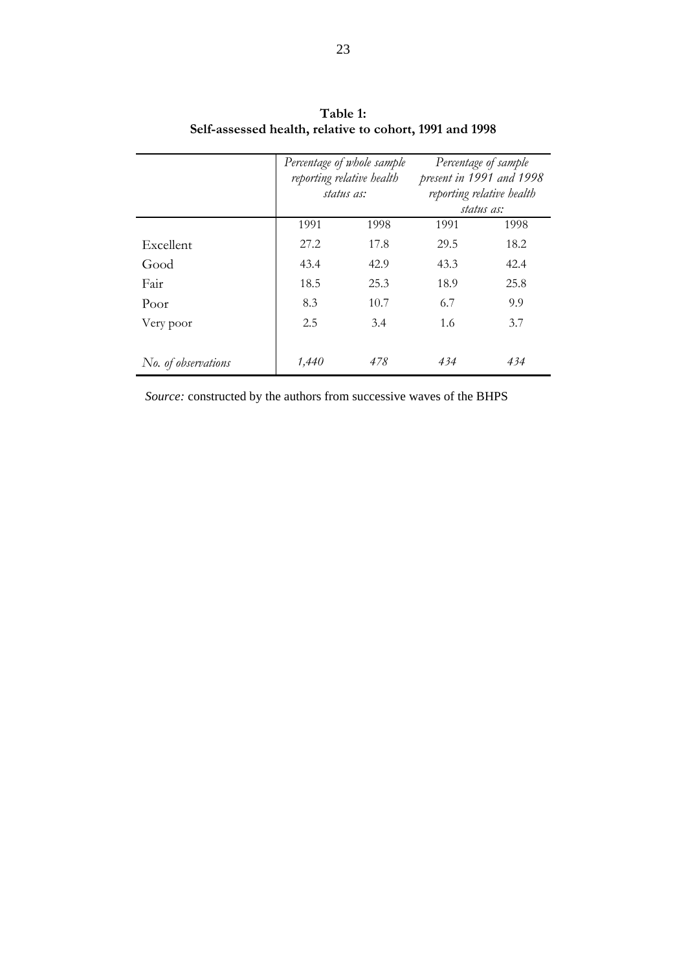|                     | Percentage of whole sample<br>reporting relative health<br>status as: |      | Percentage of sample<br>present in 1991 and 1998<br>reporting relative health<br>status as: |      |
|---------------------|-----------------------------------------------------------------------|------|---------------------------------------------------------------------------------------------|------|
|                     | 1991                                                                  | 1998 | 1991                                                                                        | 1998 |
| Excellent           | 27.2                                                                  | 17.8 | 29.5                                                                                        | 18.2 |
| Good                | 43.4                                                                  | 42.9 | 43.3                                                                                        | 42.4 |
| Fair                | 18.5                                                                  | 25.3 | 18.9                                                                                        | 25.8 |
| Poor                | 8.3                                                                   | 10.7 | 6.7                                                                                         | 9.9  |
| Very poor           | 2.5                                                                   | 3.4  | 1.6                                                                                         | 3.7  |
|                     |                                                                       |      |                                                                                             |      |
| No. of observations | 1,440                                                                 | 478  | 434                                                                                         | 434  |

| Table 1:                                                |
|---------------------------------------------------------|
| Self-assessed health, relative to cohort, 1991 and 1998 |

*Source:* constructed by the authors from successive waves of the BHPS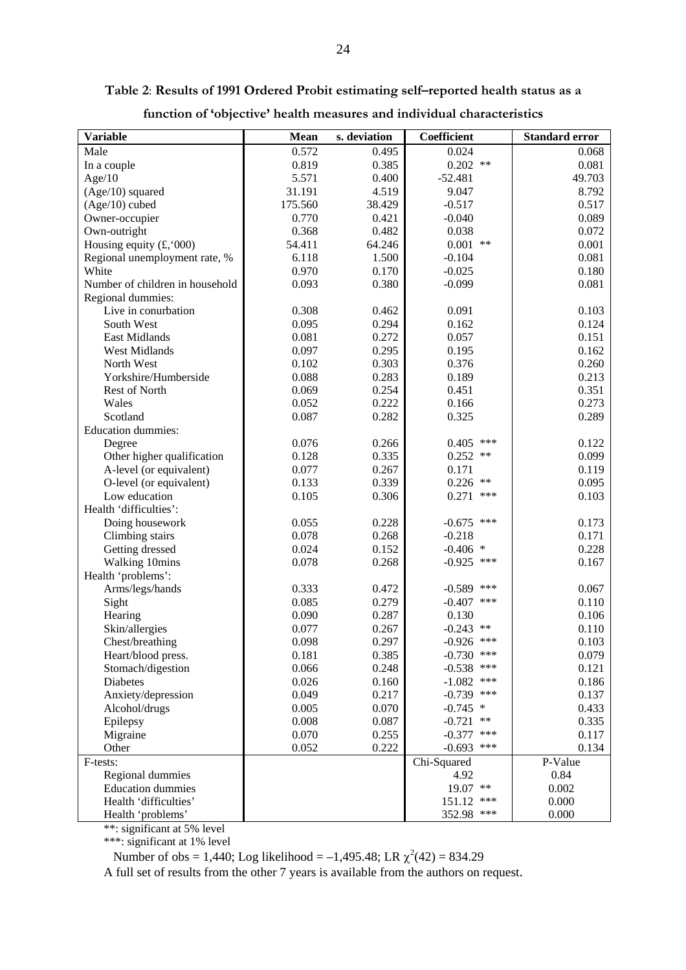| <b>Variable</b>                 | Mean    | s. deviation | Coefficient       | <b>Standard error</b> |
|---------------------------------|---------|--------------|-------------------|-----------------------|
| Male                            | 0.572   | 0.495        | 0.024             | 0.068                 |
| In a couple                     | 0.819   | 0.385        | $0.202$ **        | 0.081                 |
| Age/10                          | 5.571   | 0.400        | $-52.481$         | 49.703                |
| $(Age/10)$ squared              | 31.191  | 4.519        | 9.047             | 8.792                 |
| $(Age/10)$ cubed                | 175.560 | 38.429       | $-0.517$          | 0.517                 |
| Owner-occupier                  | 0.770   | 0.421        | $-0.040$          | 0.089                 |
| Own-outright                    | 0.368   | 0.482        | 0.038             | 0.072                 |
| Housing equity $(f, 000)$       | 54.411  | 64.246       | $***$<br>0.001    | 0.001                 |
| Regional unemployment rate, %   | 6.118   | 1.500        | $-0.104$          | 0.081                 |
| White                           | 0.970   | 0.170        | $-0.025$          | 0.180                 |
| Number of children in household | 0.093   | 0.380        | $-0.099$          | 0.081                 |
| Regional dummies:               |         |              |                   |                       |
| Live in conurbation             | 0.308   | 0.462        | 0.091             | 0.103                 |
| South West                      | 0.095   | 0.294        | 0.162             | 0.124                 |
| East Midlands                   | 0.081   | 0.272        | 0.057             | 0.151                 |
| <b>West Midlands</b>            | 0.097   | 0.295        | 0.195             | 0.162                 |
| North West                      | 0.102   | 0.303        | 0.376             | 0.260                 |
| Yorkshire/Humberside            | 0.088   | 0.283        | 0.189             | 0.213                 |
| Rest of North                   | 0.069   | 0.254        | 0.451             | 0.351                 |
| Wales                           | 0.052   | 0.222        | 0.166             | 0.273                 |
| Scotland                        | 0.087   | 0.282        | 0.325             | 0.289                 |
| <b>Education dummies:</b>       |         |              |                   |                       |
| Degree                          | 0.076   | 0.266        | ***<br>0.405      | 0.122                 |
| Other higher qualification      | 0.128   | 0.335        | $0.252$ **        | 0.099                 |
| A-level (or equivalent)         | 0.077   | 0.267        | 0.171             | 0.119                 |
| O-level (or equivalent)         | 0.133   | 0.339        | $***$<br>0.226    | 0.095                 |
| Low education                   | 0.105   | 0.306        | ***<br>0.271      | 0.103                 |
| Health 'difficulties':          |         |              |                   |                       |
| Doing housework                 | 0.055   | 0.228        | $-0.675$ ***      | 0.173                 |
| Climbing stairs                 | 0.078   | 0.268        | $-0.218$          | 0.171                 |
| Getting dressed                 | 0.024   | 0.152        | $-0.406$ *        | 0.228                 |
| Walking 10mins                  | 0.078   | 0.268        | $-0.925$ ***      | 0.167                 |
| Health 'problems':              |         |              |                   |                       |
| Arms/legs/hands                 | 0.333   | 0.472        | $-0.589$ ***      | 0.067                 |
| Sight                           | 0.085   | 0.279        | $-0.407$ ***      | 0.110                 |
| Hearing                         | 0.090   | 0.287        | 0.130             | 0.106                 |
| Skin/allergies                  | 0.077   | 0.267        | $-0.243$ **       | 0.110                 |
| Chest/breathing                 | 0.098   | 0.297        | $-0.926$ ***      | 0.103                 |
| Heart/blood press.              | 0.181   | 0.385        | $-0.730$ ***      | 0.079                 |
| Stomach/digestion               | 0.066   | 0.248        | ***<br>$-0.538$   | 0.121                 |
| Diabetes                        | 0.026   | 0.160        | $-1.082$ ***      | 0.186                 |
| Anxiety/depression              | 0.049   | 0.217        | $-0.739$ ***      | 0.137                 |
| Alcohol/drugs                   | 0.005   | 0.070        | $-0.745$ *        | 0.433                 |
| Epilepsy                        | 0.008   | 0.087        | $-0.721$<br>$***$ | 0.335                 |
| Migraine                        | 0.070   | 0.255        | $***$<br>$-0.377$ | 0.117                 |
| Other                           | 0.052   | 0.222        | ***<br>$-0.693$   | 0.134                 |
| F-tests:                        |         |              | Chi-Squared       | P-Value               |
| Regional dummies                |         |              | 4.92              | 0.84                  |
| <b>Education dummies</b>        |         |              | 19.07 **          | 0.002                 |
| Health 'difficulties'           |         |              | ***<br>151.12     | 0.000                 |
| Health 'problems'               |         |              | ***<br>352.98     | 0.000                 |

**Table 2**: **Results of 1991 Ordered Probit estimating self–reported health status as a function of 'objective' health measures and individual characteristics** 

\*\*: significant at 5% level

\*\*\*: significant at 1% level

Number of obs = 1,440; Log likelihood =  $-1,495.48$ ; LR  $\chi^2(42) = 834.29$ 

A full set of results from the other 7 years is available from the authors on request.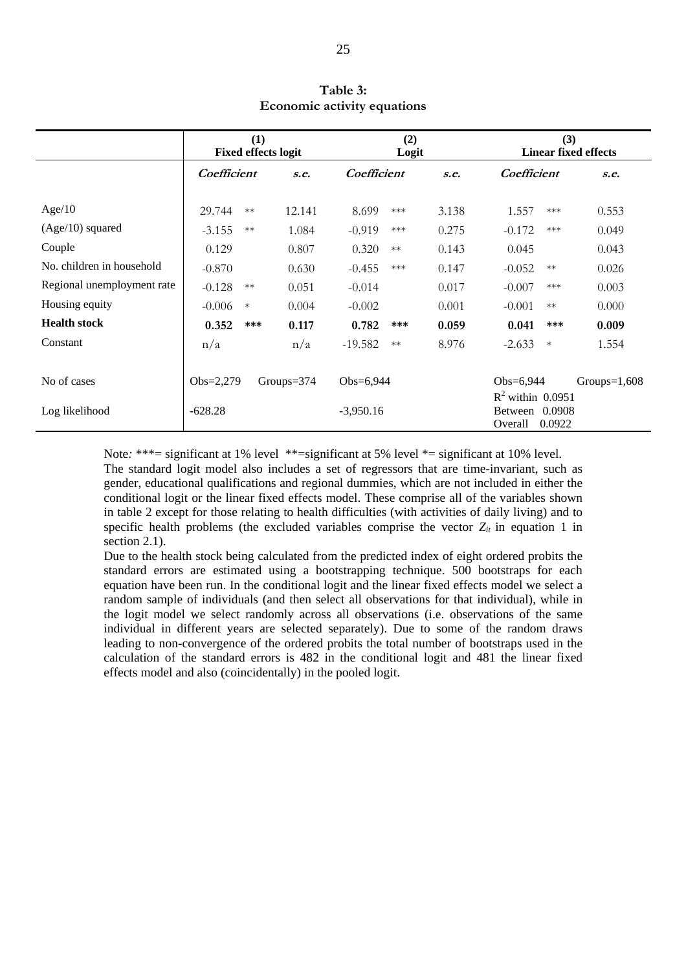|                            | (1)<br><b>Fixed effects logit</b> |            | (2)<br>Logit            |       | (3)<br><b>Linear fixed effects</b>                         |                 |
|----------------------------|-----------------------------------|------------|-------------------------|-------|------------------------------------------------------------|-----------------|
|                            | Coefficient                       | s.e.       | Coefficient             | s.e.  | Coefficient                                                | s.e.            |
| Age/10                     | 29.744<br>$\ast\ast$              | 12.141     | 8.699<br>***            | 3.138 | 1.557<br>***                                               | 0.553           |
| $(Age/10)$ squared         | $-3.155$<br>$**$                  | 1.084      | $-0.919$<br>***         | 0.275 | $-0.172$<br>***                                            | 0.049           |
| Couple                     | 0.129                             | 0.807      | 0.320<br>$\ast\ast$     | 0.143 | 0.045                                                      | 0.043           |
| No. children in household  | $-0.870$                          | 0.630      | $-0.455$<br>***         | 0.147 | $-0.052$<br>$**$                                           | 0.026           |
| Regional unemployment rate | $-0.128$<br>$**$                  | 0.051      | $-0.014$                | 0.017 | $-0.007$<br>***                                            | 0.003           |
| Housing equity             | $-0.006$<br>$\ast$                | 0.004      | $-0.002$                | 0.001 | $-0.001$<br>$**$                                           | 0.000           |
| <b>Health stock</b>        | 0.352<br>***                      | 0.117      | 0.782<br>***            | 0.059 | 0.041<br>***                                               | 0.009           |
| Constant                   | n/a                               | n/a        | $-19.582$<br>$\ast\ast$ | 8.976 | $-2.633$<br>$\ast$                                         | 1.554           |
|                            |                                   |            |                         |       |                                                            |                 |
| No of cases                | Obs= $2,279$                      | Groups=374 | Obs= $6,944$            |       | $Obs=6,944$                                                | Groups= $1,608$ |
| Log likelihood             | $-628.28$                         |            | $-3,950.16$             |       | $R^2$ within 0.0951<br>Between 0.0908<br>Overall<br>0.0922 |                 |

**Table 3: Economic activity equations** 

Note: \*\*\*= significant at 1% level \*\*= significant at 5% level \*= significant at 10% level. The standard logit model also includes a set of regressors that are time-invariant, such as gender, educational qualifications and regional dummies, which are not included in either the conditional logit or the linear fixed effects model. These comprise all of the variables shown in table 2 except for those relating to health difficulties (with activities of daily living) and to

specific health problems (the excluded variables comprise the vector  $Z_{it}$  in equation 1 in section 2.1). Due to the health stock being calculated from the predicted index of eight ordered probits the standard errors are estimated using a bootstrapping technique. 500 bootstraps for each equation have been run. In the conditional logit and the linear fixed effects model we select a

random sample of individuals (and then select all observations for that individual), while in the logit model we select randomly across all observations (i.e. observations of the same individual in different years are selected separately). Due to some of the random draws leading to non-convergence of the ordered probits the total number of bootstraps used in the calculation of the standard errors is 482 in the conditional logit and 481 the linear fixed effects model and also (coincidentally) in the pooled logit.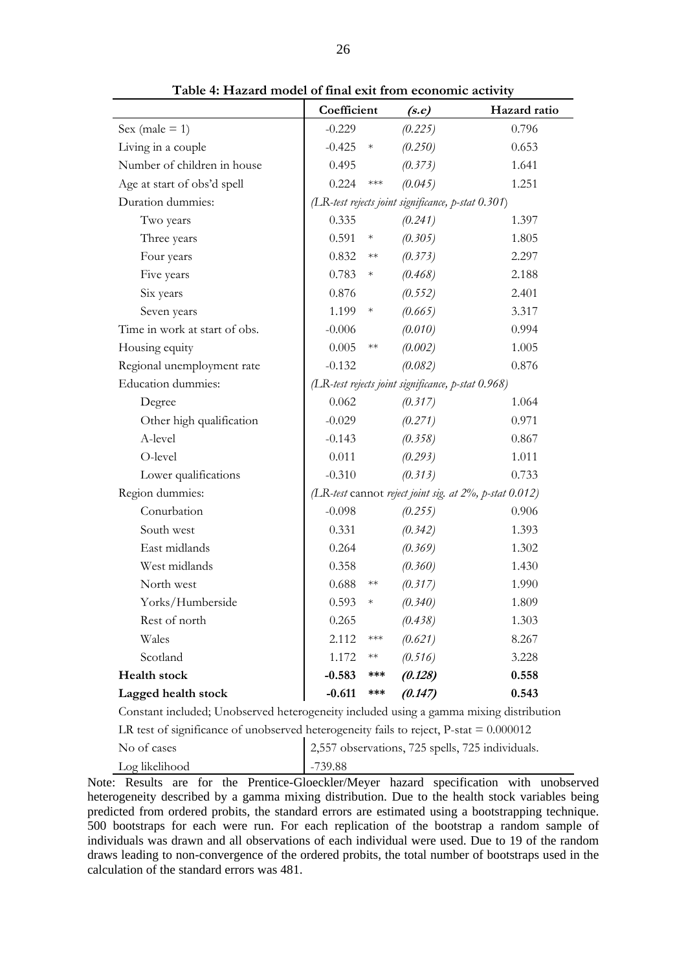|                                                                                                 | Coefficient |            | (s.e)   | Hazard ratio                                           |
|-------------------------------------------------------------------------------------------------|-------------|------------|---------|--------------------------------------------------------|
| Sex (male $= 1$ )                                                                               | $-0.229$    |            | (0.225) | 0.796                                                  |
| Living in a couple                                                                              | $-0.425$    | $\ast$     | (0.250) | 0.653                                                  |
| Number of children in house                                                                     | 0.495       |            | (0.373) | 1.641                                                  |
| Age at start of obs'd spell                                                                     | 0.224       | $***$      | (0.045) | 1.251                                                  |
| Duration dummies:                                                                               |             |            |         | (LR-test rejects joint significance, p-stat 0.301)     |
| Two years                                                                                       | 0.335       |            | (0.241) | 1.397                                                  |
| Three years                                                                                     | 0.591       | $\ast$     | (0.305) | 1.805                                                  |
| Four years                                                                                      | 0.832       | $**$       | (0.373) | 2.297                                                  |
| Five years                                                                                      | 0.783       | $\ast$     | (0.468) | 2.188                                                  |
| Six years                                                                                       | 0.876       |            | (0.552) | 2.401                                                  |
| Seven years                                                                                     | 1.199       | $\ast$     | (0.665) | 3.317                                                  |
| Time in work at start of obs.                                                                   | $-0.006$    |            | (0.010) | 0.994                                                  |
| Housing equity                                                                                  | 0.005       | $\ast\ast$ | (0.002) | 1.005                                                  |
| Regional unemployment rate                                                                      | $-0.132$    |            | (0.082) | 0.876                                                  |
| <b>Education</b> dummies:                                                                       |             |            |         | (LR-test rejects joint significance, p-stat 0.968)     |
| Degree                                                                                          | 0.062       |            | (0.317) | 1.064                                                  |
| Other high qualification                                                                        | $-0.029$    |            | (0.271) | 0.971                                                  |
| A-level                                                                                         | $-0.143$    |            | (0.358) | 0.867                                                  |
| O-level                                                                                         | 0.011       |            | (0.293) | 1.011                                                  |
| Lower qualifications                                                                            | $-0.310$    |            | (0.313) | 0.733                                                  |
| Region dummies:                                                                                 |             |            |         | (LR-test cannot reject joint sig. at 2%, p-stat 0.012) |
| Conurbation                                                                                     | $-0.098$    |            | (0.255) | 0.906                                                  |
| South west                                                                                      | 0.331       |            | (0.342) | 1.393                                                  |
| East midlands                                                                                   | 0.264       |            | (0.369) | 1.302                                                  |
| West midlands                                                                                   | 0.358       |            | (0.360) | 1.430                                                  |
| North west                                                                                      | 0.688       | $**$       | (0.317) | 1.990                                                  |
| Yorks/Humberside                                                                                | 0.593       | $\ast$     | (0.340) | 1.809                                                  |
| Rest of north                                                                                   | 0.265       |            | (0.438) | 1.303                                                  |
| Wales                                                                                           | 2.112       | ***        | (0.621) | 8.267                                                  |
| Scotland                                                                                        | 1.172       | $**$       | (0.516) | 3.228                                                  |
| <b>Health stock</b>                                                                             | $-0.583$    | ***        | (0.128) | 0.558                                                  |
| Lagged health stock                                                                             | $-0.611$    | ***        | (0.147) | 0.543                                                  |
| Constant included; Unobserved heterogeneity included using a gamma mixing distribution          |             |            |         |                                                        |
| LR test of significance of unobserved beterogeneity fails to reject $P$ -stat $\equiv 0.000012$ |             |            |         |                                                        |

**Table 4: Hazard model of final exit from economic activity**

LR test of significance of unobserved heterogeneity fails to reject,  $P$ -stat =  $0.000012$ 

No of cases 2,557 observations, 725 spells, 725 individuals. Log likelihood and 1-739.88

Note: Results are for the Prentice-Gloeckler/Meyer hazard specification with unobserved heterogeneity described by a gamma mixing distribution. Due to the health stock variables being predicted from ordered probits, the standard errors are estimated using a bootstrapping technique. 500 bootstraps for each were run. For each replication of the bootstrap a random sample of individuals was drawn and all observations of each individual were used. Due to 19 of the random draws leading to non-convergence of the ordered probits, the total number of bootstraps used in the calculation of the standard errors was 481.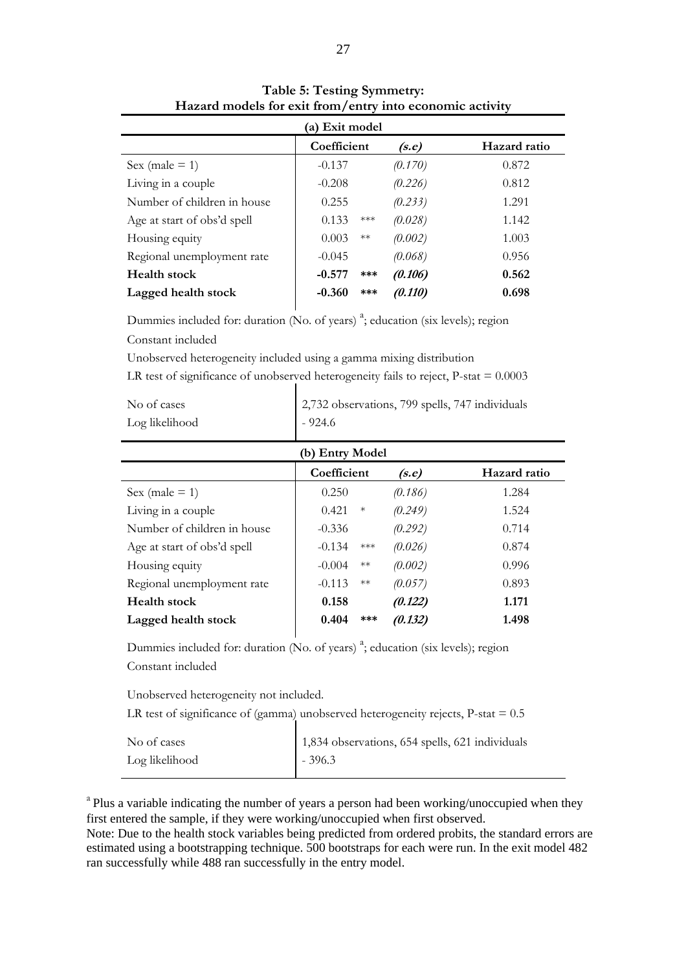| (a) Exit model              |                 |         |              |  |
|-----------------------------|-----------------|---------|--------------|--|
|                             | Coefficient     | (s.e)   | Hazard ratio |  |
| Sex (male $= 1$ )           | $-0.137$        | (0.170) | 0.872        |  |
| Living in a couple          | $-0.208$        | (0.226) | 0.812        |  |
| Number of children in house | 0.255           | (0.233) | 1.291        |  |
| Age at start of obs'd spell | 0.133<br>$***$  | (0.028) | 1.142        |  |
| Housing equity              | 0.003<br>$**$   | (0.002) | 1.003        |  |
| Regional unemployment rate  | $-0.045$        | (0.068) | 0.956        |  |
| <b>Health stock</b>         | $-0.577$<br>*** | (0.106) | 0.562        |  |
| Lagged health stock         | $-0.360$<br>*** | (0.110) | 0.698        |  |

**Table 5: Testing Symmetry: Hazard models for exit from/entry into economic activity** 

Dummies included for: duration (No. of years)<sup>2</sup>; education (six levels); region Constant included

Unobserved heterogeneity included using a gamma mixing distribution

| LR test of significance of unobserved heterogeneity fails to reject, P-stat = $0.0003$ |  |  |
|----------------------------------------------------------------------------------------|--|--|
|                                                                                        |  |  |

| No of cases    | 2,732 observations, 799 spells, 747 individuals |
|----------------|-------------------------------------------------|
| Log likelihood | $-924.6$                                        |

| (b) Entry Model             |                  |         |              |  |
|-----------------------------|------------------|---------|--------------|--|
|                             | Coefficient      | (s.e)   | Hazard ratio |  |
| Sex (male $= 1$ )           | 0.250            | (0.186) | 1.284        |  |
| Living in a couple          | 0.421<br>$\ast$  | (0.249) | 1.524        |  |
| Number of children in house | $-0.336$         | (0.292) | 0.714        |  |
| Age at start of obs'd spell | $-0.134$<br>***  | (0.026) | 0.874        |  |
| Housing equity              | $-0.004$<br>$**$ | (0.002) | 0.996        |  |
| Regional unemployment rate  | $-0.113$<br>$**$ | (0.057) | 0.893        |  |
| <b>Health stock</b>         | 0.158            | (0.122) | 1.171        |  |
| Lagged health stock         | 0.404<br>***     | (0.132) | 1.498        |  |

Dummies included for: duration (No. of years)<sup>2</sup>; education (six levels); region Constant included

Unobserved heterogeneity not included.

LR test of significance of (gamma) unobserved heterogeneity rejects, P-stat = 0.5

| No of cases    | 1,834 observations, 654 spells, 621 individuals |
|----------------|-------------------------------------------------|
| Log likelihood | $-396.3$                                        |

<sup>a</sup> Plus a variable indicating the number of years a person had been working/unoccupied when they first entered the sample, if they were working/unoccupied when first observed.

Note: Due to the health stock variables being predicted from ordered probits, the standard errors are estimated using a bootstrapping technique. 500 bootstraps for each were run. In the exit model 482 ran successfully while 488 ran successfully in the entry model.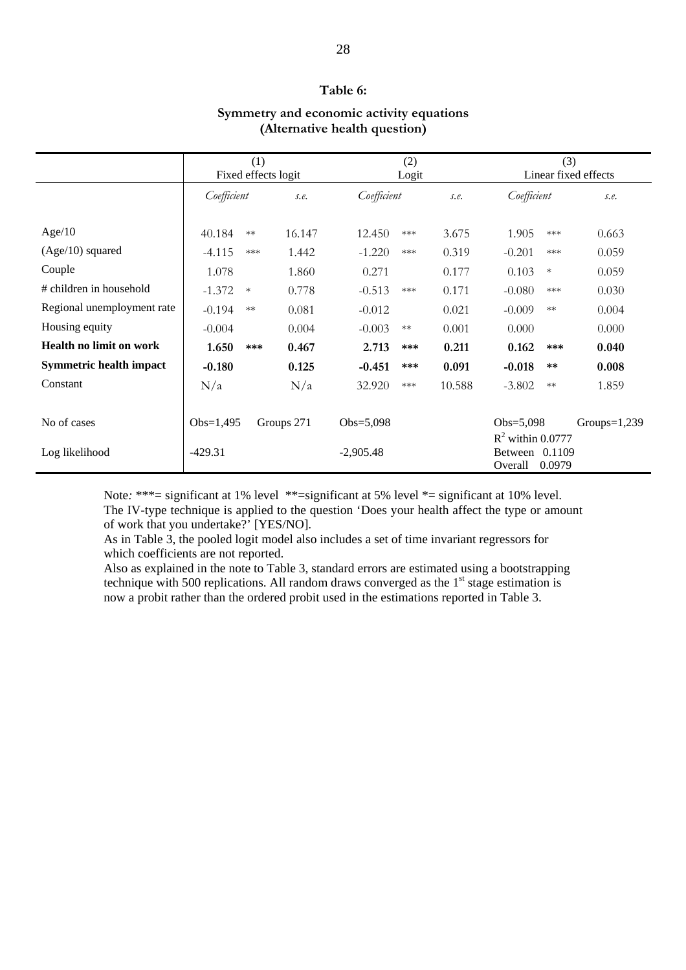#### **Table 6:**

# **Symmetry and economic activity equations (Alternative health question)**

|                                | (1)<br>Fixed effects logit |            |            | (2)<br>Logit  |             |        | (3)<br>Linear fixed effects         |        |                 |
|--------------------------------|----------------------------|------------|------------|---------------|-------------|--------|-------------------------------------|--------|-----------------|
|                                | Coefficient                |            | s.e.       |               | Coefficient |        | Coefficient                         |        | s.e.            |
| Age/10                         | 40.184                     | $\ast\ast$ | 16.147     | 12.450        | $***$       | 3.675  | 1.905                               | $***$  | 0.663           |
| $(Age/10)$ squared             | $-4.115$                   | $***$      | 1.442      | $-1.220$      | $***$       | 0.319  | $-0.201$                            | $***$  | 0.059           |
| Couple                         | 1.078                      |            | 1.860      | 0.271         |             | 0.177  | 0.103                               | $\ast$ | 0.059           |
| # children in household        | $-1.372$                   | $*$        | 0.778      | $-0.513$      | $***$       | 0.171  | $-0.080$                            | $***$  | 0.030           |
| Regional unemployment rate     | $-0.194$                   | $**$       | 0.081      | $-0.012$      |             | 0.021  | $-0.009$                            | $**$   | 0.004           |
| Housing equity                 | $-0.004$                   |            | 0.004      | $-0.003$      | $**$        | 0.001  | 0.000                               |        | 0.000           |
| <b>Health no limit on work</b> | 1.650                      | $***$      | 0.467      | 2.713         | ***         | 0.211  | 0.162                               | ***    | 0.040           |
| <b>Symmetric health impact</b> | $-0.180$                   |            | 0.125      | $-0.451$      | ***         | 0.091  | $-0.018$                            | $***$  | 0.008           |
| Constant                       | N/a                        |            | N/a        | 32.920        | $***$       | 10.588 | $-3.802$                            | $**$   | 1.859           |
|                                |                            |            |            |               |             |        |                                     |        |                 |
| No of cases                    | $Obs=1,495$                |            | Groups 271 | $Obs = 5.098$ |             |        | Obs= $5,098$                        |        | Groups= $1,239$ |
|                                |                            |            |            |               |             |        | $R^2$ within 0.0777                 |        |                 |
| Log likelihood                 | $-429.31$                  |            |            | $-2,905.48$   |             |        | Between 0.1109<br>Overall<br>0.0979 |        |                 |

Note: \*\*\*= significant at 1% level \*\*= significant at 5% level \*= significant at 10% level. The IV-type technique is applied to the question 'Does your health affect the type or amount of work that you undertake?' [YES/NO].

As in Table 3, the pooled logit model also includes a set of time invariant regressors for which coefficients are not reported.

Also as explained in the note to Table 3, standard errors are estimated using a bootstrapping technique with 500 replications. All random draws converged as the  $1<sup>st</sup>$  stage estimation is now a probit rather than the ordered probit used in the estimations reported in Table 3.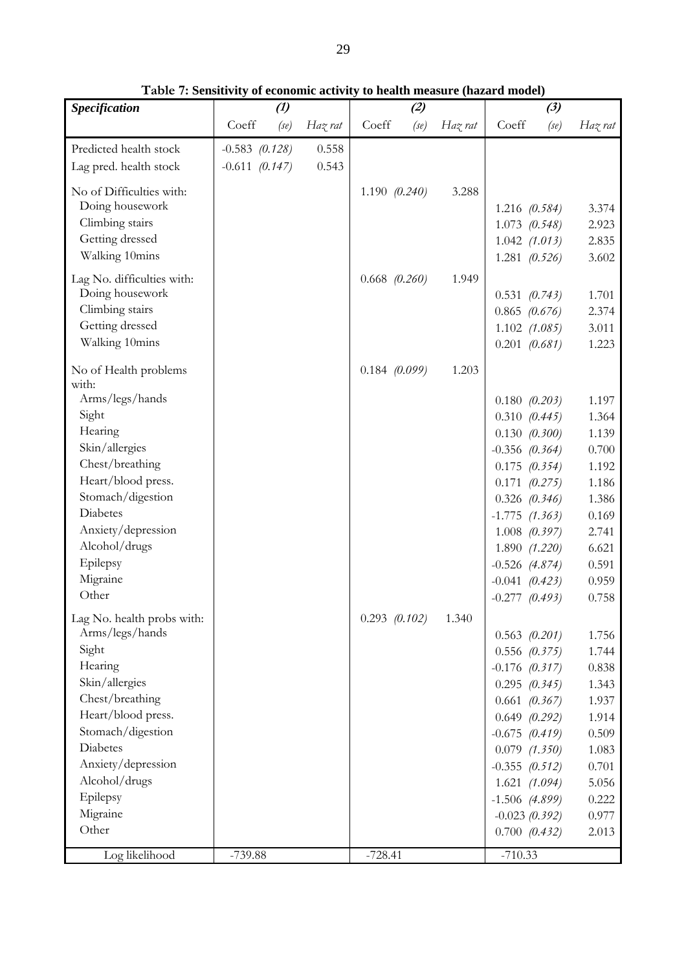| Specification                  | $\mathcal{L}$    |      | (2)          |           |                   | (3)          |                    |      |         |
|--------------------------------|------------------|------|--------------|-----------|-------------------|--------------|--------------------|------|---------|
|                                | Coeff            | (se) | $Ha\chi$ rat | Coeff     | (se)              | $Ha\chi$ rat | Coeff              | (se) | Haz rat |
| Predicted health stock         | $-0.583$ (0.128) |      | 0.558        |           |                   |              |                    |      |         |
| Lag pred. health stock         | $-0.611$ (0.147) |      | 0.543        |           |                   |              |                    |      |         |
| No of Difficulties with:       |                  |      |              |           | 1.190 $(0.240)$   | 3.288        |                    |      |         |
| Doing housework                |                  |      |              |           |                   |              | 1.216 (0.584)      |      | 3.374   |
| Climbing stairs                |                  |      |              |           |                   |              | $1.073$ $(0.548)$  |      | 2.923   |
| Getting dressed                |                  |      |              |           |                   |              | $1.042$ $(1.013)$  |      | 2.835   |
| Walking 10mins                 |                  |      |              |           |                   |              | 1.281 $(0.526)$    |      | 3.602   |
| Lag No. difficulties with:     |                  |      |              |           | $0.668$ $(0.260)$ | 1.949        |                    |      |         |
| Doing housework                |                  |      |              |           |                   |              | $0.531$ $(0.743)$  |      | 1.701   |
| Climbing stairs                |                  |      |              |           |                   |              | $0.865$ $(0.676)$  |      | 2.374   |
| Getting dressed                |                  |      |              |           |                   |              | $1.102$ $(1.085)$  |      | 3.011   |
| Walking 10mins                 |                  |      |              |           |                   |              | $0.201$ $(0.681)$  |      | 1.223   |
|                                |                  |      |              |           |                   |              |                    |      |         |
| No of Health problems<br>with: |                  |      |              |           | $0.184$ (0.099)   | 1.203        |                    |      |         |
| Arms/legs/hands                |                  |      |              |           |                   |              | $0.180$ $(0.203)$  |      | 1.197   |
| Sight                          |                  |      |              |           |                   |              | $0.310$ $(0.445)$  |      | 1.364   |
| Hearing                        |                  |      |              |           |                   |              | $0.130$ $(0.300)$  |      | 1.139   |
| Skin/allergies                 |                  |      |              |           |                   |              | $-0.356$ (0.364)   |      | 0.700   |
| Chest/breathing                |                  |      |              |           |                   |              | $0.175$ $(0.354)$  |      | 1.192   |
| Heart/blood press.             |                  |      |              |           |                   |              | $0.171$ $(0.275)$  |      | 1.186   |
| Stomach/digestion              |                  |      |              |           |                   |              | $0.326$ $(0.346)$  |      | 1.386   |
| <b>Diabetes</b>                |                  |      |              |           |                   |              | $-1.775$ $(1.363)$ |      | 0.169   |
| Anxiety/depression             |                  |      |              |           |                   |              | $1.008$ (0.397)    |      | 2.741   |
| Alcohol/drugs                  |                  |      |              |           |                   |              | 1.890 (1.220)      |      | 6.621   |
| Epilepsy                       |                  |      |              |           |                   |              | $-0.526$ $(4.874)$ |      | 0.591   |
| Migraine                       |                  |      |              |           |                   |              | $-0.041$ (0.423)   |      | 0.959   |
| Other                          |                  |      |              |           |                   |              | $-0.277$ (0.493)   |      | 0.758   |
| Lag No. health probs with:     |                  |      |              |           | $0.293$ $(0.102)$ | 1.340        |                    |      |         |
| Arms/legs/hands                |                  |      |              |           |                   |              | $0.563$ $(0.201)$  |      | 1.756   |
| Sight                          |                  |      |              |           |                   |              | $0.556$ (0.375)    |      | 1.744   |
| Hearing                        |                  |      |              |           |                   |              | $-0.176$ (0.317)   |      | 0.838   |
| Skin/allergies                 |                  |      |              |           |                   |              | $0.295$ $(0.345)$  |      | 1.343   |
| Chest/breathing                |                  |      |              |           |                   |              | $0.661$ $(0.367)$  |      | 1.937   |
| Heart/blood press.             |                  |      |              |           |                   |              | $0.649$ $(0.292)$  |      | 1.914   |
| Stomach/digestion              |                  |      |              |           |                   |              | $-0.675$ (0.419)   |      | 0.509   |
| Diabetes                       |                  |      |              |           |                   |              | $0.079$ $(1.350)$  |      | 1.083   |
| Anxiety/depression             |                  |      |              |           |                   |              | $-0.355$ (0.512)   |      | 0.701   |
| Alcohol/drugs                  |                  |      |              |           |                   |              | $1.621$ $(1.094)$  |      | 5.056   |
| Epilepsy                       |                  |      |              |           |                   |              | $-1.506$ $(4.899)$ |      | 0.222   |
| Migraine                       |                  |      |              |           |                   |              | $-0.023(0.392)$    |      | 0.977   |
| Other                          |                  |      |              |           |                   |              | $0.700$ $(0.432)$  |      | 2.013   |
| Log likelihood                 | $-739.88$        |      |              | $-728.41$ |                   |              | $-710.33$          |      |         |

**Table 7: Sensitivity of economic activity to health measure (hazard model)**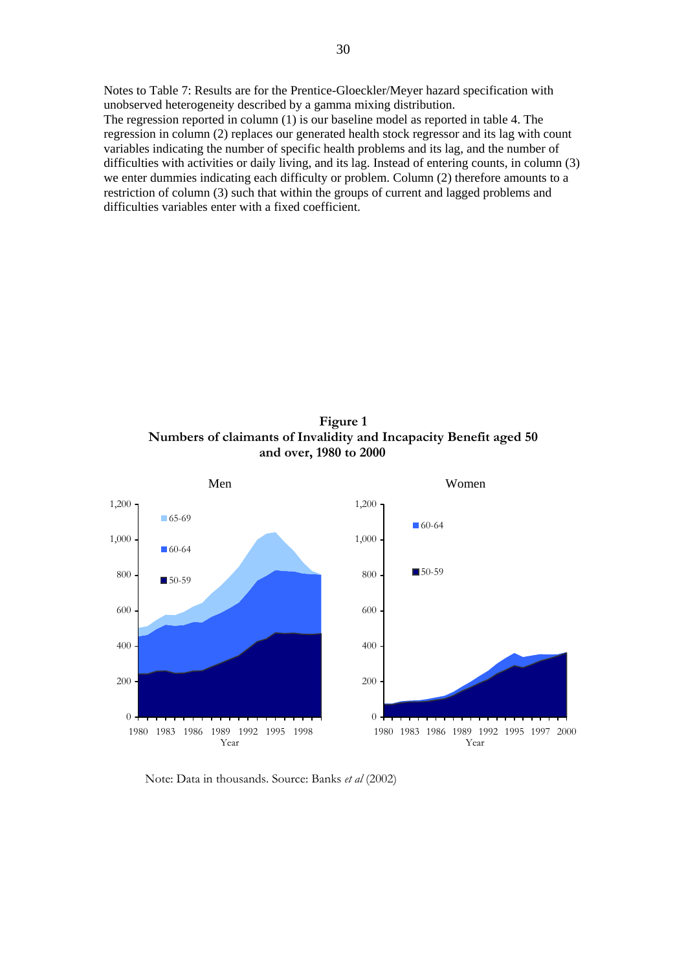Notes to Table 7: Results are for the Prentice-Gloeckler/Meyer hazard specification with unobserved heterogeneity described by a gamma mixing distribution.

The regression reported in column (1) is our baseline model as reported in table 4. The regression in column (2) replaces our generated health stock regressor and its lag with count variables indicating the number of specific health problems and its lag, and the number of difficulties with activities or daily living, and its lag. Instead of entering counts, in column (3) we enter dummies indicating each difficulty or problem. Column (2) therefore amounts to a restriction of column (3) such that within the groups of current and lagged problems and difficulties variables enter with a fixed coefficient.

**Figure 1 Numbers of claimants of Invalidity and Incapacity Benefit aged 50 and over, 1980 to 2000** 



Note: Data in thousands. Source: Banks *et al* (2002)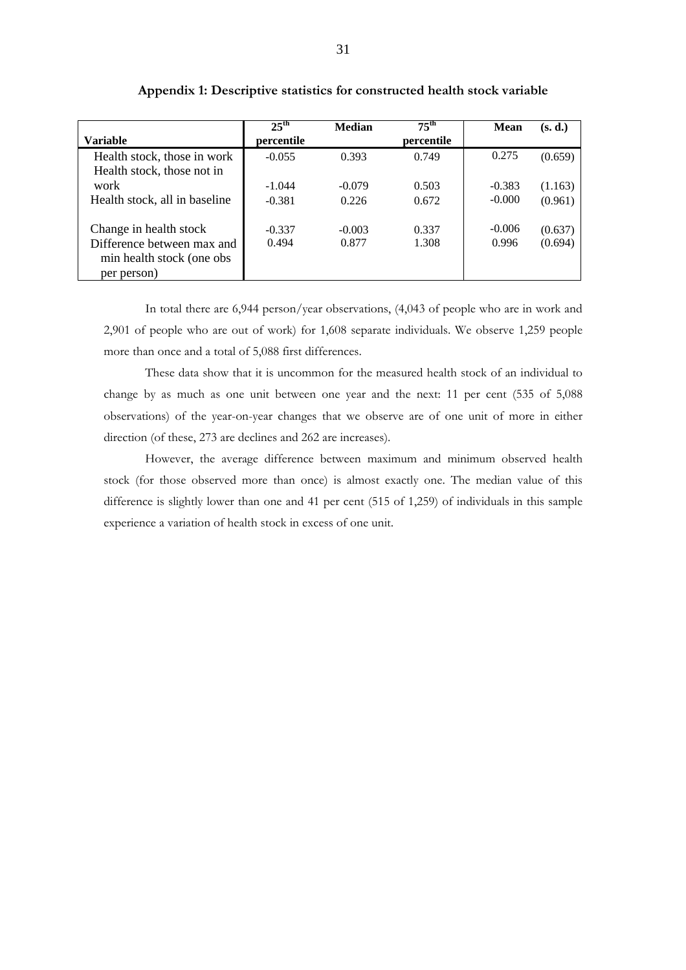|                               | $25^{\text{th}}$ | <b>Median</b> | $75^{\text{th}}$ | <b>Mean</b> | (s, d.) |
|-------------------------------|------------------|---------------|------------------|-------------|---------|
| <b>Variable</b>               | percentile       |               | percentile       |             |         |
| Health stock, those in work   | $-0.055$         | 0.393         | 0.749            | 0.275       | (0.659) |
| Health stock, those not in    |                  |               |                  |             |         |
| work                          | $-1.044$         | $-0.079$      | 0.503            | $-0.383$    | (1.163) |
| Health stock, all in baseline | $-0.381$         | 0.226         | 0.672            | $-0.000$    | (0.961) |
|                               |                  |               |                  |             |         |
| Change in health stock        | $-0.337$         | $-0.003$      | 0.337            | $-0.006$    | (0.637) |
| Difference between max and    | 0.494            | 0.877         | 1.308            | 0.996       | (0.694) |
| min health stock (one obs     |                  |               |                  |             |         |
| per person)                   |                  |               |                  |             |         |

**Appendix 1: Descriptive statistics for constructed health stock variable** 

In total there are 6,944 person/year observations, (4,043 of people who are in work and 2,901 of people who are out of work) for 1,608 separate individuals. We observe 1,259 people more than once and a total of 5,088 first differences.

These data show that it is uncommon for the measured health stock of an individual to change by as much as one unit between one year and the next: 11 per cent (535 of 5,088 observations) of the year-on-year changes that we observe are of one unit of more in either direction (of these, 273 are declines and 262 are increases).

However, the average difference between maximum and minimum observed health stock (for those observed more than once) is almost exactly one. The median value of this difference is slightly lower than one and 41 per cent (515 of 1,259) of individuals in this sample experience a variation of health stock in excess of one unit.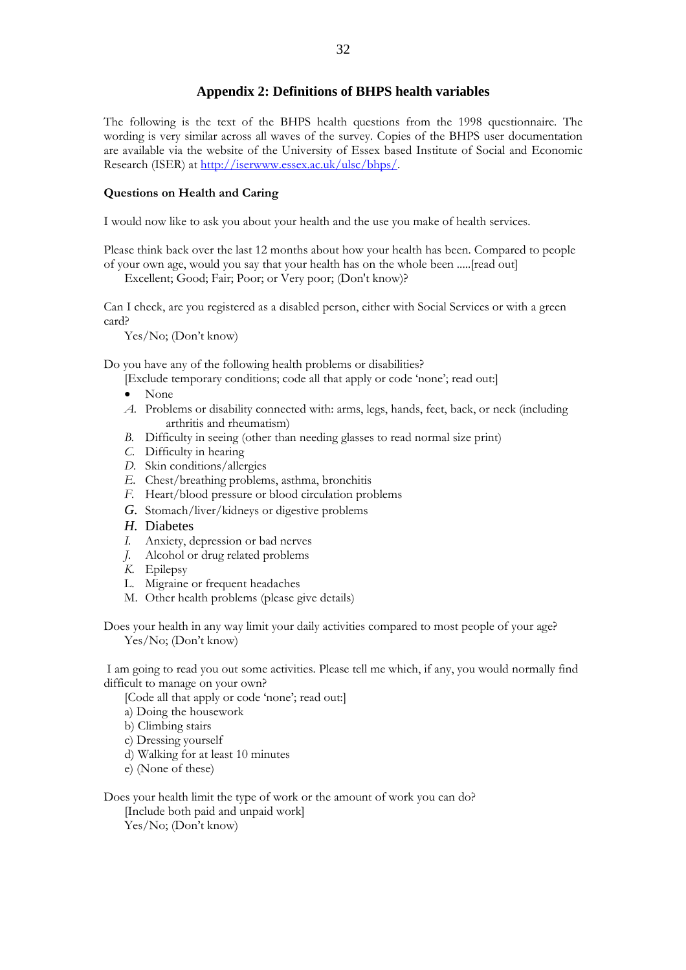## **Appendix 2: Definitions of BHPS health variables**

The following is the text of the BHPS health questions from the 1998 questionnaire. The wording is very similar across all waves of the survey. Copies of the BHPS user documentation are available via the website of the University of Essex based Institute of Social and Economic Research (ISER) at http://iserwww.essex.ac.uk/ulsc/bhps/.

#### **Questions on Health and Caring**

I would now like to ask you about your health and the use you make of health services.

Please think back over the last 12 months about how your health has been. Compared to people of your own age, would you say that your health has on the whole been .....[read out]

Excellent; Good; Fair; Poor; or Very poor; (Don't know)?

Can I check, are you registered as a disabled person, either with Social Services or with a green card?

Yes/No; (Don't know)

Do you have any of the following health problems or disabilities?

- [Exclude temporary conditions; code all that apply or code 'none'; read out:]
- None
- *A.* Problems or disability connected with: arms, legs, hands, feet, back, or neck (including arthritis and rheumatism)
- *B.* Difficulty in seeing (other than needing glasses to read normal size print)
- *C.* Difficulty in hearing
- *D.* Skin conditions/allergies
- *E.* Chest/breathing problems, asthma, bronchitis
- *F.* Heart/blood pressure or blood circulation problems
- *G.* Stomach/liver/kidneys or digestive problems
- *H.* Diabetes
- *I.* Anxiety, depression or bad nerves
- *J.* Alcohol or drug related problems
- *K.* Epilepsy
- L. Migraine or frequent headaches
- M. Other health problems (please give details)

Does your health in any way limit your daily activities compared to most people of your age? Yes/No; (Don't know)

 I am going to read you out some activities. Please tell me which, if any, you would normally find difficult to manage on your own?

[Code all that apply or code 'none'; read out:]

- a) Doing the housework
- b) Climbing stairs
- c) Dressing yourself
- d) Walking for at least 10 minutes
- e) (None of these)

Does your health limit the type of work or the amount of work you can do?

[Include both paid and unpaid work]

Yes/No; (Don't know)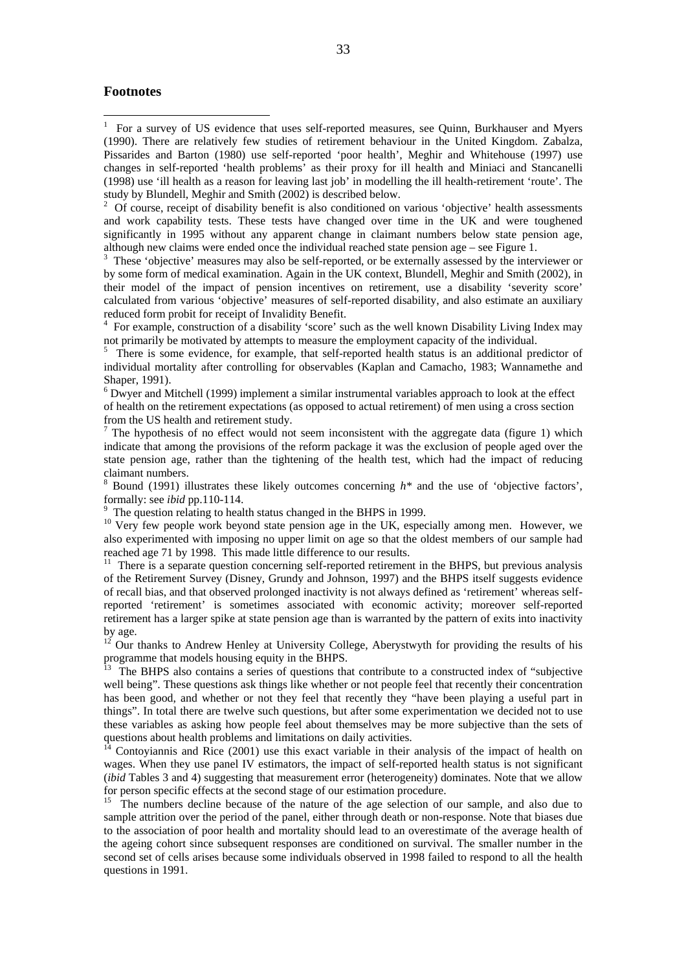#### **Footnotes**

 $\overline{a}$ 

2 Of course, receipt of disability benefit is also conditioned on various 'objective' health assessments and work capability tests. These tests have changed over time in the UK and were toughened significantly in 1995 without any apparent change in claimant numbers below state pension age, although new claims were ended once the individual reached state pension age – see Figure 1.

<sup>3</sup> These 'objective' measures may also be self-reported, or be externally assessed by the interviewer or by some form of medical examination. Again in the UK context, Blundell, Meghir and Smith (2002), in their model of the impact of pension incentives on retirement, use a disability 'severity score' calculated from various 'objective' measures of self-reported disability, and also estimate an auxiliary reduced form probit for receipt of Invalidity Benefit. 4

<sup>4</sup> For example, construction of a disability 'score' such as the well known Disability Living Index may not primarily be motivated by attempts to measure the employment capacity of the individual.

<sup>5</sup> There is some evidence, for example, that self-reported health status is an additional predictor of individual mortality after controlling for observables (Kaplan and Camacho, 1983; Wannamethe and Shaper, 1991).

 $6$  Dwyer and Mitchell (1999) implement a similar instrumental variables approach to look at the effect of health on the retirement expectations (as opposed to actual retirement) of men using a cross section from the US health and retirement study.

<sup>7</sup> The hypothesis of no effect would not seem inconsistent with the aggregate data (figure 1) which indicate that among the provisions of the reform package it was the exclusion of people aged over the state pension age, rather than the tightening of the health test, which had the impact of reducing claimant numbers.

8 Bound (1991) illustrates these likely outcomes concerning *h\** and the use of 'objective factors', formally: see *ibid* pp.110-114.<br><sup>9</sup> The question relating to health status changed in the BHPS in 1999.<br><sup>10</sup> Very few people work beyond state pension age in the UK, especially among men. However, we

also experimented with imposing no upper limit on age so that the oldest members of our sample had reached age 71 by 1998. This made little difference to our results.<br><sup>11</sup> There is a separate question concerning self-reported retirement in the BHPS, but previous analysis

of the Retirement Survey (Disney, Grundy and Johnson, 1997) and the BHPS itself suggests evidence of recall bias, and that observed prolonged inactivity is not always defined as 'retirement' whereas selfreported 'retirement' is sometimes associated with economic activity; moreover self-reported retirement has a larger spike at state pension age than is warranted by the pattern of exits into inactivity by age.

<sup>12</sup> Our thanks to Andrew Henley at University College, Aberystwyth for providing the results of his programme that models housing equity in the BHPS.

The BHPS also contains a series of questions that contribute to a constructed index of "subjective well being". These questions ask things like whether or not people feel that recently their concentration has been good, and whether or not they feel that recently they "have been playing a useful part in things". In total there are twelve such questions, but after some experimentation we decided not to use these variables as asking how people feel about themselves may be more subjective than the sets of questions about health problems and limitations on daily activities.

14 Contoyiannis and Rice (2001) use this exact variable in their analysis of the impact of health on wages. When they use panel IV estimators, the impact of self-reported health status is not significant (*ibid* Tables 3 and 4) suggesting that measurement error (heterogeneity) dominates. Note that we allow for person specific effects at the second stage of our estimation procedure.<br><sup>15</sup> The numbers decline because of the nature of the age selection of our sample, and also due to

sample attrition over the period of the panel, either through death or non-response. Note that biases due to the association of poor health and mortality should lead to an overestimate of the average health of the ageing cohort since subsequent responses are conditioned on survival. The smaller number in the second set of cells arises because some individuals observed in 1998 failed to respond to all the health questions in 1991.

<sup>1</sup> For a survey of US evidence that uses self-reported measures, see Quinn, Burkhauser and Myers (1990). There are relatively few studies of retirement behaviour in the United Kingdom. Zabalza, Pissarides and Barton (1980) use self-reported 'poor health', Meghir and Whitehouse (1997) use changes in self-reported 'health problems' as their proxy for ill health and Miniaci and Stancanelli (1998) use 'ill health as a reason for leaving last job' in modelling the ill health-retirement 'route'. The study by Blundell, Meghir and Smith (2002) is described below.